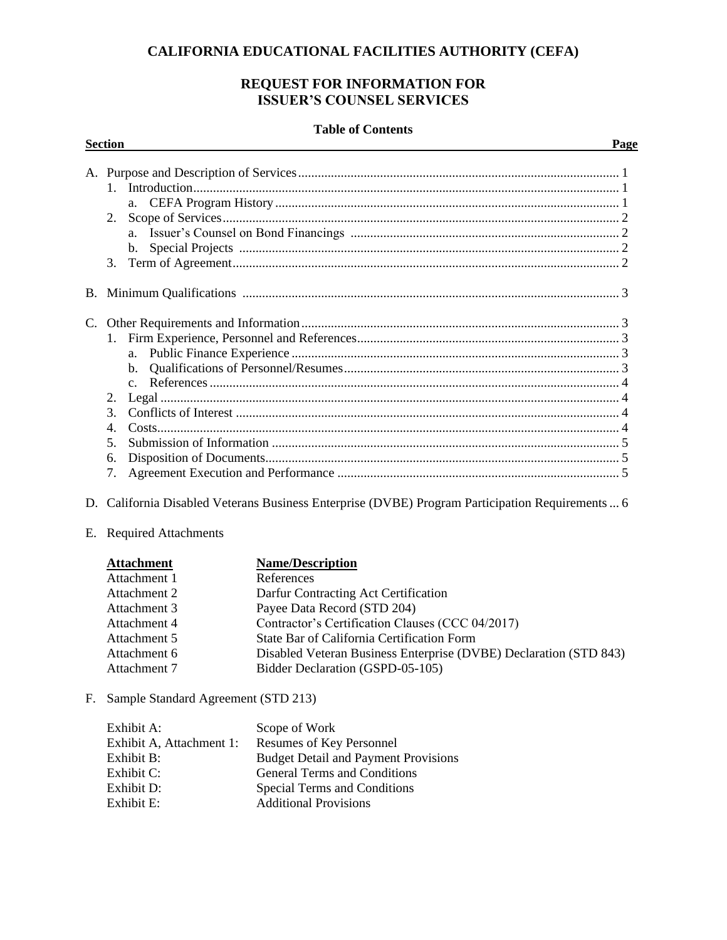## **CALIFORNIA EDUCATIONAL FACILITIES AUTHORITY (CEFA)**

## **REQUEST FOR INFORMATION FOR ISSUER'S COUNSEL SERVICES**

#### **Table of Contents**

| 1<br>2.<br>$\mathbf{b}$ .<br>C.                   |  |
|---------------------------------------------------|--|
|                                                   |  |
|                                                   |  |
| $\mathcal{E}$<br>$\overline{4}$<br>5.<br>6.<br>7. |  |

- D. California Disabled Veterans Business Enterprise (DVBE) Program Participation Requirements... 6
- E. Required Attachments

| <b>Attachment</b> | <b>Name/Description</b>                                           |
|-------------------|-------------------------------------------------------------------|
| Attachment 1      | References                                                        |
| Attachment 2      | Darfur Contracting Act Certification                              |
| Attachment 3      | Payee Data Record (STD 204)                                       |
| Attachment 4      | Contractor's Certification Clauses (CCC 04/2017)                  |
| Attachment 5      | State Bar of California Certification Form                        |
| Attachment 6      | Disabled Veteran Business Enterprise (DVBE) Declaration (STD 843) |
| Attachment 7      | Bidder Declaration (GSPD-05-105)                                  |

F. Sample Standard Agreement (STD 213)

| Exhibit A:               | Scope of Work                               |
|--------------------------|---------------------------------------------|
| Exhibit A, Attachment 1: | Resumes of Key Personnel                    |
| Exhibit B:               | <b>Budget Detail and Payment Provisions</b> |
| Exhibit C:               | <b>General Terms and Conditions</b>         |
| Exhibit D:               | Special Terms and Conditions                |
| Exhibit E:               | <b>Additional Provisions</b>                |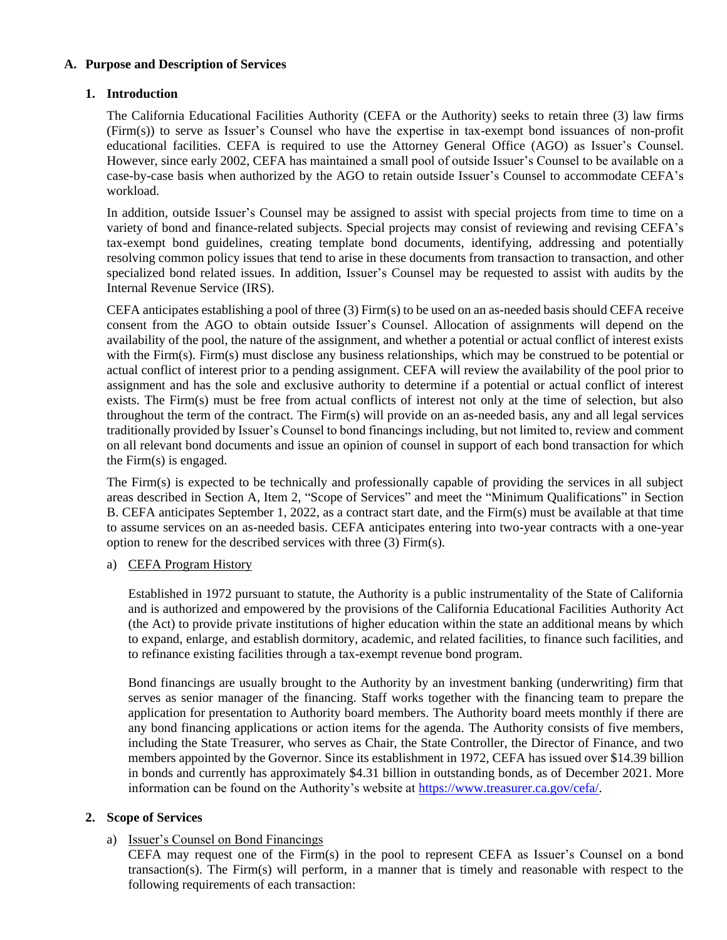#### **A. Purpose and Description of Services**

### **1. Introduction**

The California Educational Facilities Authority (CEFA or the Authority) seeks to retain three (3) law firms (Firm(s)) to serve as Issuer's Counsel who have the expertise in tax-exempt bond issuances of non-profit educational facilities. CEFA is required to use the Attorney General Office (AGO) as Issuer's Counsel. However, since early 2002, CEFA has maintained a small pool of outside Issuer's Counsel to be available on a case-by-case basis when authorized by the AGO to retain outside Issuer's Counsel to accommodate CEFA's workload.

In addition, outside Issuer's Counsel may be assigned to assist with special projects from time to time on a variety of bond and finance-related subjects. Special projects may consist of reviewing and revising CEFA's tax-exempt bond guidelines, creating template bond documents, identifying, addressing and potentially resolving common policy issues that tend to arise in these documents from transaction to transaction, and other specialized bond related issues. In addition, Issuer's Counsel may be requested to assist with audits by the Internal Revenue Service (IRS).

CEFA anticipates establishing a pool of three (3) Firm(s) to be used on an as-needed basis should CEFA receive consent from the AGO to obtain outside Issuer's Counsel. Allocation of assignments will depend on the availability of the pool, the nature of the assignment, and whether a potential or actual conflict of interest exists with the Firm(s). Firm(s) must disclose any business relationships, which may be construed to be potential or actual conflict of interest prior to a pending assignment. CEFA will review the availability of the pool prior to assignment and has the sole and exclusive authority to determine if a potential or actual conflict of interest exists. The Firm(s) must be free from actual conflicts of interest not only at the time of selection, but also throughout the term of the contract. The Firm(s) will provide on an as-needed basis, any and all legal services traditionally provided by Issuer's Counsel to bond financings including, but not limited to, review and comment on all relevant bond documents and issue an opinion of counsel in support of each bond transaction for which the Firm(s) is engaged.

The Firm(s) is expected to be technically and professionally capable of providing the services in all subject areas described in Section A, Item 2, "Scope of Services" and meet the "Minimum Qualifications" in Section B. CEFA anticipates September 1, 2022, as a contract start date, and the Firm(s) must be available at that time to assume services on an as-needed basis. CEFA anticipates entering into two-year contracts with a one-year option to renew for the described services with three (3) Firm(s).

#### a) CEFA Program History

Established in 1972 pursuant to statute, the Authority is a public instrumentality of the State of California and is authorized and empowered by the provisions of the California Educational Facilities Authority Act (the Act) to provide private institutions of higher education within the state an additional means by which to expand, enlarge, and establish dormitory, academic, and related facilities, to finance such facilities, and to refinance existing facilities through a tax-exempt revenue bond program.

Bond financings are usually brought to the Authority by an investment banking (underwriting) firm that serves as senior manager of the financing. Staff works together with the financing team to prepare the application for presentation to Authority board members. The Authority board meets monthly if there are any bond financing applications or action items for the agenda. The Authority consists of five members, including the State Treasurer, who serves as Chair, the State Controller, the Director of Finance, and two members appointed by the Governor. Since its establishment in 1972, CEFA has issued over \$14.39 billion in bonds and currently has approximately \$4.31 billion in outstanding bonds, as of December 2021. More information can be found on the Authority's website at [https://www.treasurer.ca.gov/cefa/.](https://www.treasurer.ca.gov/cefa/)

#### **2. Scope of Services**

#### a) Issuer's Counsel on Bond Financings

CEFA may request one of the Firm(s) in the pool to represent CEFA as Issuer's Counsel on a bond transaction(s). The Firm(s) will perform, in a manner that is timely and reasonable with respect to the following requirements of each transaction: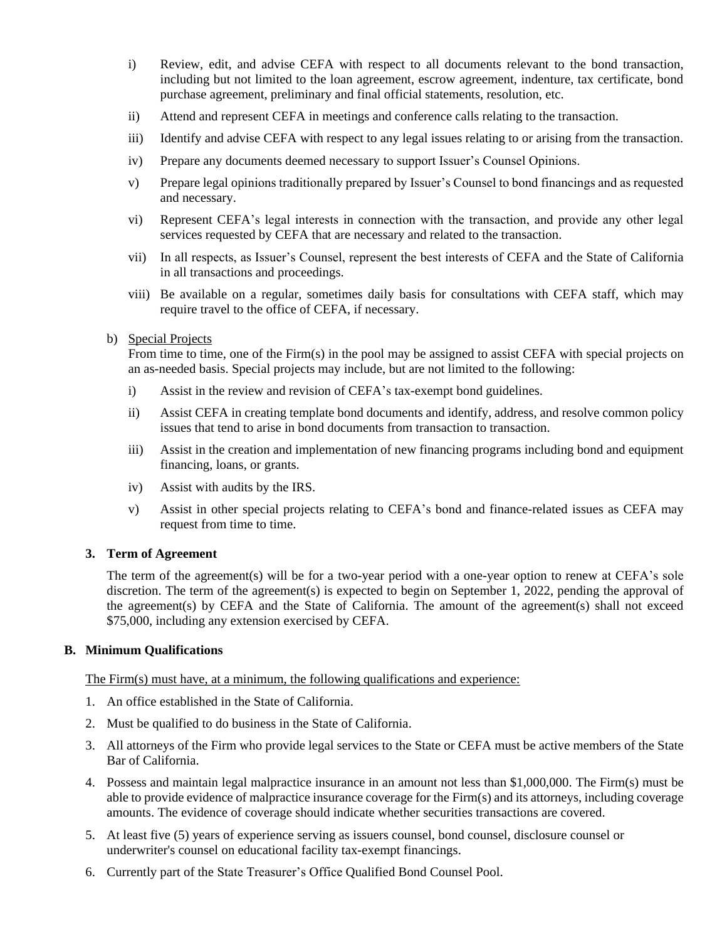- i) Review, edit, and advise CEFA with respect to all documents relevant to the bond transaction, including but not limited to the loan agreement, escrow agreement, indenture, tax certificate, bond purchase agreement, preliminary and final official statements, resolution, etc.
- ii) Attend and represent CEFA in meetings and conference calls relating to the transaction.
- iii) Identify and advise CEFA with respect to any legal issues relating to or arising from the transaction.
- iv) Prepare any documents deemed necessary to support Issuer's Counsel Opinions.
- v) Prepare legal opinions traditionally prepared by Issuer's Counsel to bond financings and as requested and necessary.
- vi) Represent CEFA's legal interests in connection with the transaction, and provide any other legal services requested by CEFA that are necessary and related to the transaction.
- vii) In all respects, as Issuer's Counsel, represent the best interests of CEFA and the State of California in all transactions and proceedings.
- viii) Be available on a regular, sometimes daily basis for consultations with CEFA staff, which may require travel to the office of CEFA, if necessary.
- b) Special Projects

From time to time, one of the Firm(s) in the pool may be assigned to assist CEFA with special projects on an as-needed basis. Special projects may include, but are not limited to the following:

- i) Assist in the review and revision of CEFA's tax-exempt bond guidelines.
- ii) Assist CEFA in creating template bond documents and identify, address, and resolve common policy issues that tend to arise in bond documents from transaction to transaction.
- iii) Assist in the creation and implementation of new financing programs including bond and equipment financing, loans, or grants.
- iv) Assist with audits by the IRS.
- v) Assist in other special projects relating to CEFA's bond and finance-related issues as CEFA may request from time to time.

#### **3. Term of Agreement**

The term of the agreement(s) will be for a two-year period with a one-year option to renew at CEFA's sole discretion. The term of the agreement(s) is expected to begin on September 1, 2022, pending the approval of the agreement(s) by CEFA and the State of California. The amount of the agreement(s) shall not exceed \$75,000, including any extension exercised by CEFA.

#### **B. Minimum Qualifications**

The Firm(s) must have, at a minimum, the following qualifications and experience:

- 1. An office established in the State of California.
- 2. Must be qualified to do business in the State of California.
- 3. All attorneys of the Firm who provide legal services to the State or CEFA must be active members of the State Bar of California.
- 4. Possess and maintain legal malpractice insurance in an amount not less than \$1,000,000. The Firm(s) must be able to provide evidence of malpractice insurance coverage for the Firm(s) and its attorneys, including coverage amounts. The evidence of coverage should indicate whether securities transactions are covered.
- 5. At least five (5) years of experience serving as issuers counsel, bond counsel, disclosure counsel or underwriter's counsel on educational facility tax-exempt financings.
- 6. Currently part of the State Treasurer's Office Qualified Bond Counsel Pool.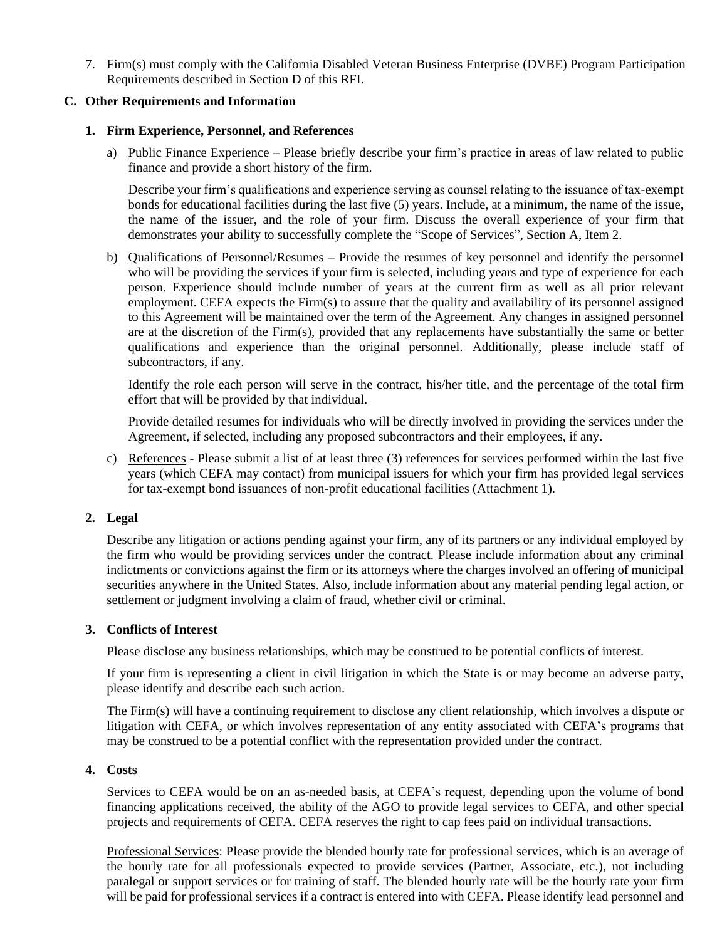7. Firm(s) must comply with the California Disabled Veteran Business Enterprise (DVBE) Program Participation Requirements described in Section D of this RFI.

#### **C. Other Requirements and Information**

#### **1. Firm Experience, Personnel, and References**

a) Public Finance Experience **–** Please briefly describe your firm's practice in areas of law related to public finance and provide a short history of the firm.

Describe your firm's qualifications and experience serving as counsel relating to the issuance of tax-exempt bonds for educational facilities during the last five (5) years. Include, at a minimum, the name of the issue, the name of the issuer, and the role of your firm. Discuss the overall experience of your firm that demonstrates your ability to successfully complete the "Scope of Services", Section A, Item 2.

b) Qualifications of Personnel/Resumes – Provide the resumes of key personnel and identify the personnel who will be providing the services if your firm is selected, including years and type of experience for each person. Experience should include number of years at the current firm as well as all prior relevant employment. CEFA expects the Firm(s) to assure that the quality and availability of its personnel assigned to this Agreement will be maintained over the term of the Agreement. Any changes in assigned personnel are at the discretion of the Firm(s), provided that any replacements have substantially the same or better qualifications and experience than the original personnel. Additionally, please include staff of subcontractors, if any.

Identify the role each person will serve in the contract, his/her title, and the percentage of the total firm effort that will be provided by that individual.

Provide detailed resumes for individuals who will be directly involved in providing the services under the Agreement, if selected, including any proposed subcontractors and their employees, if any.

c) References - Please submit a list of at least three (3) references for services performed within the last five years (which CEFA may contact) from municipal issuers for which your firm has provided legal services for tax-exempt bond issuances of non-profit educational facilities (Attachment 1).

### **2. Legal**

Describe any litigation or actions pending against your firm, any of its partners or any individual employed by the firm who would be providing services under the contract. Please include information about any criminal indictments or convictions against the firm or its attorneys where the charges involved an offering of municipal securities anywhere in the United States. Also, include information about any material pending legal action, or settlement or judgment involving a claim of fraud, whether civil or criminal.

#### **3. Conflicts of Interest**

Please disclose any business relationships, which may be construed to be potential conflicts of interest.

If your firm is representing a client in civil litigation in which the State is or may become an adverse party, please identify and describe each such action.

The Firm(s) will have a continuing requirement to disclose any client relationship, which involves a dispute or litigation with CEFA, or which involves representation of any entity associated with CEFA's programs that may be construed to be a potential conflict with the representation provided under the contract.

#### **4. Costs**

Services to CEFA would be on an as-needed basis, at CEFA's request, depending upon the volume of bond financing applications received, the ability of the AGO to provide legal services to CEFA, and other special projects and requirements of CEFA. CEFA reserves the right to cap fees paid on individual transactions.

Professional Services: Please provide the blended hourly rate for professional services, which is an average of the hourly rate for all professionals expected to provide services (Partner, Associate, etc.), not including paralegal or support services or for training of staff. The blended hourly rate will be the hourly rate your firm will be paid for professional services if a contract is entered into with CEFA. Please identify lead personnel and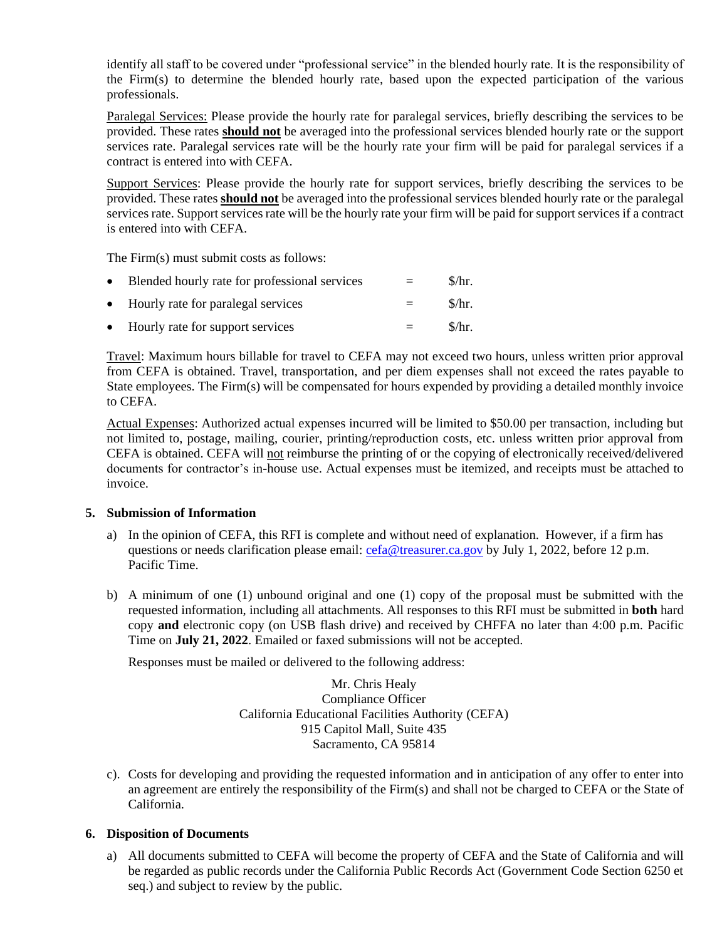identify all staff to be covered under "professional service" in the blended hourly rate. It is the responsibility of the Firm(s) to determine the blended hourly rate, based upon the expected participation of the various professionals.

Paralegal Services: Please provide the hourly rate for paralegal services, briefly describing the services to be provided. These rates **should not** be averaged into the professional services blended hourly rate or the support services rate. Paralegal services rate will be the hourly rate your firm will be paid for paralegal services if a contract is entered into with CEFA.

Support Services: Please provide the hourly rate for support services, briefly describing the services to be provided. These rates **should not** be averaged into the professional services blended hourly rate or the paralegal services rate. Support services rate will be the hourly rate your firm will be paid for support services if a contract is entered into with CEFA.

The Firm(s) must submit costs as follows:

| $\bullet$ | Blended hourly rate for professional services | $=$     | \$/hr. |
|-----------|-----------------------------------------------|---------|--------|
|           | • Hourly rate for paralegal services          | $=$     | \$/hr. |
|           | • Hourly rate for support services            | $=$ $-$ | \$/hr. |

Travel: Maximum hours billable for travel to CEFA may not exceed two hours, unless written prior approval from CEFA is obtained. Travel, transportation, and per diem expenses shall not exceed the rates payable to State employees. The Firm(s) will be compensated for hours expended by providing a detailed monthly invoice to CEFA.

Actual Expenses: Authorized actual expenses incurred will be limited to \$50.00 per transaction, including but not limited to, postage, mailing, courier, printing/reproduction costs, etc. unless written prior approval from CEFA is obtained. CEFA will not reimburse the printing of or the copying of electronically received/delivered documents for contractor's in-house use. Actual expenses must be itemized, and receipts must be attached to invoice.

#### **5. Submission of Information**

- a) In the opinion of CEFA, this RFI is complete and without need of explanation. However, if a firm has questions or needs clarification please email: [cefa@treasurer.ca.gov](mailto:cefa@treasurer.ca.gov) by July 1, 2022, before 12 p.m. Pacific Time.
- b) A minimum of one (1) unbound original and one (1) copy of the proposal must be submitted with the requested information, including all attachments. All responses to this RFI must be submitted in **both** hard copy **and** electronic copy (on USB flash drive) and received by CHFFA no later than 4:00 p.m. Pacific Time on **July 21, 2022**. Emailed or faxed submissions will not be accepted.

Responses must be mailed or delivered to the following address:

Mr. Chris Healy Compliance Officer California Educational Facilities Authority (CEFA) 915 Capitol Mall, Suite 435 Sacramento, CA 95814

c). Costs for developing and providing the requested information and in anticipation of any offer to enter into an agreement are entirely the responsibility of the Firm(s) and shall not be charged to CEFA or the State of California.

## **6. Disposition of Documents**

a) All documents submitted to CEFA will become the property of CEFA and the State of California and will be regarded as public records under the California Public Records Act (Government Code Section 6250 et seq.) and subject to review by the public.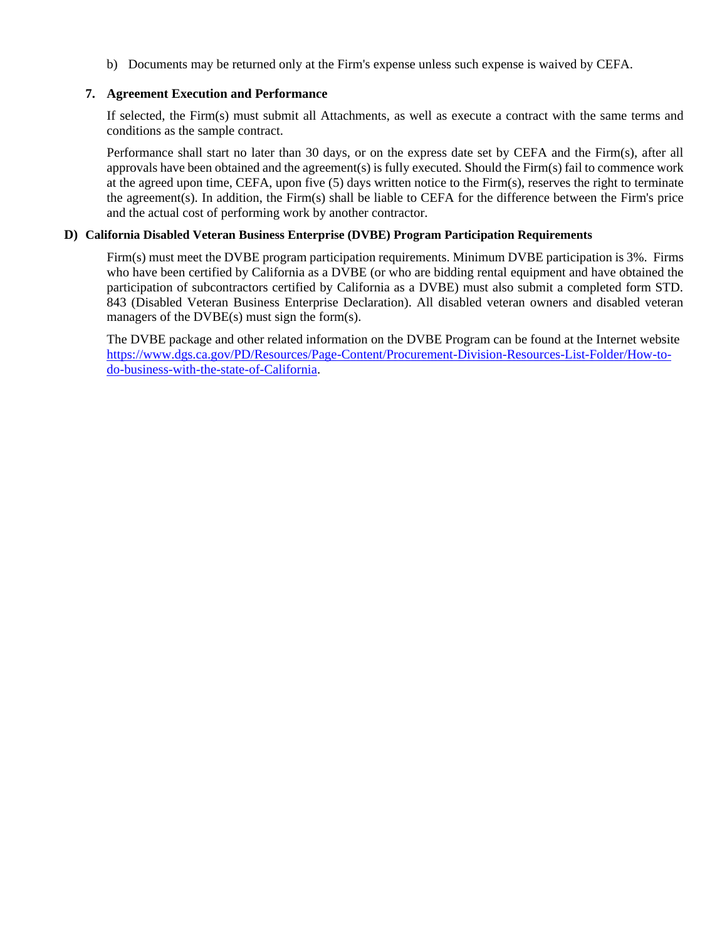b) Documents may be returned only at the Firm's expense unless such expense is waived by CEFA.

#### **7. Agreement Execution and Performance**

If selected, the Firm(s) must submit all Attachments, as well as execute a contract with the same terms and conditions as the sample contract.

Performance shall start no later than 30 days, or on the express date set by CEFA and the Firm(s), after all approvals have been obtained and the agreement(s) is fully executed. Should the Firm(s) fail to commence work at the agreed upon time, CEFA, upon five (5) days written notice to the Firm(s), reserves the right to terminate the agreement(s). In addition, the Firm(s) shall be liable to CEFA for the difference between the Firm's price and the actual cost of performing work by another contractor.

#### **D) California Disabled Veteran Business Enterprise (DVBE) Program Participation Requirements**

Firm(s) must meet the DVBE program participation requirements. Minimum DVBE participation is 3%. Firms who have been certified by California as a DVBE (or who are bidding rental equipment and have obtained the participation of subcontractors certified by California as a DVBE) must also submit a completed form STD. 843 (Disabled Veteran Business Enterprise Declaration). All disabled veteran owners and disabled veteran managers of the DVBE(s) must sign the form(s).

The DVBE package and other related information on the DVBE Program can be found at the Internet website [https://www.dgs.ca.gov/PD/Resources/Page-Content/Procurement-Division-Resources-List-Folder/How-to](https://www.dgs.ca.gov/PD/Resources/Page-Content/Procurement-Division-Resources-List-Folder/How-to-do-business-with-the-state-of-California)[do-business-with-the-state-of-California.](https://www.dgs.ca.gov/PD/Resources/Page-Content/Procurement-Division-Resources-List-Folder/How-to-do-business-with-the-state-of-California)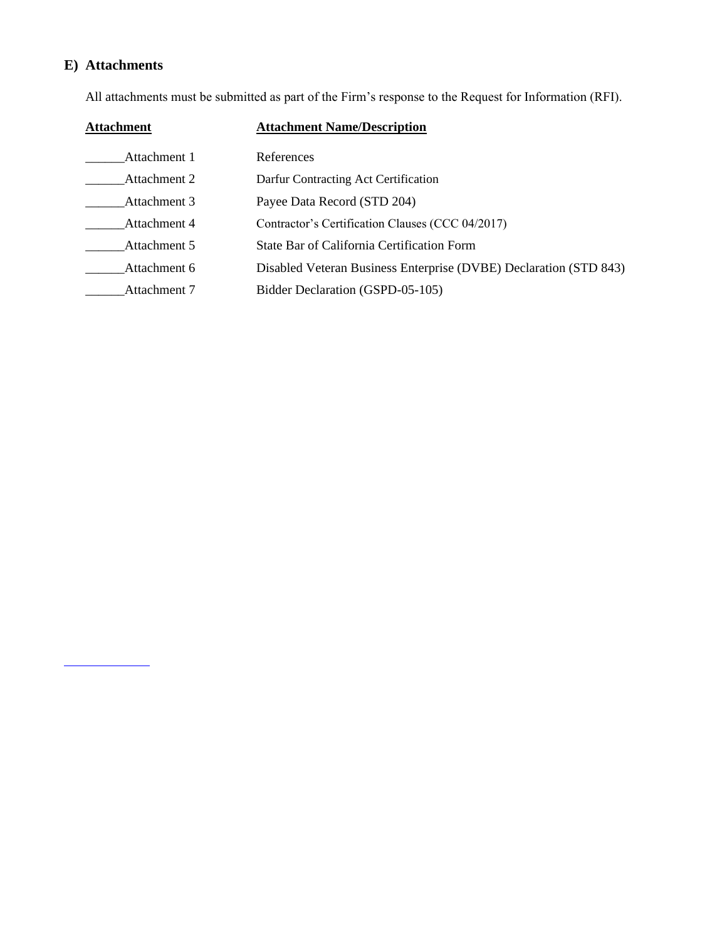# **E) Attachments**

All attachments must be submitted as part of the Firm's response to the Request for Information (RFI).

| <b>Attachment</b> | <b>Attachment Name/Description</b>                                |
|-------------------|-------------------------------------------------------------------|
| Attachment 1      | References                                                        |
| Attachment 2      | Darfur Contracting Act Certification                              |
| Attachment 3      | Payee Data Record (STD 204)                                       |
| Attachment 4      | Contractor's Certification Clauses (CCC 04/2017)                  |
| Attachment 5      | State Bar of California Certification Form                        |
| Attachment 6      | Disabled Veteran Business Enterprise (DVBE) Declaration (STD 843) |
| Attachment 7      | Bidder Declaration (GSPD-05-105)                                  |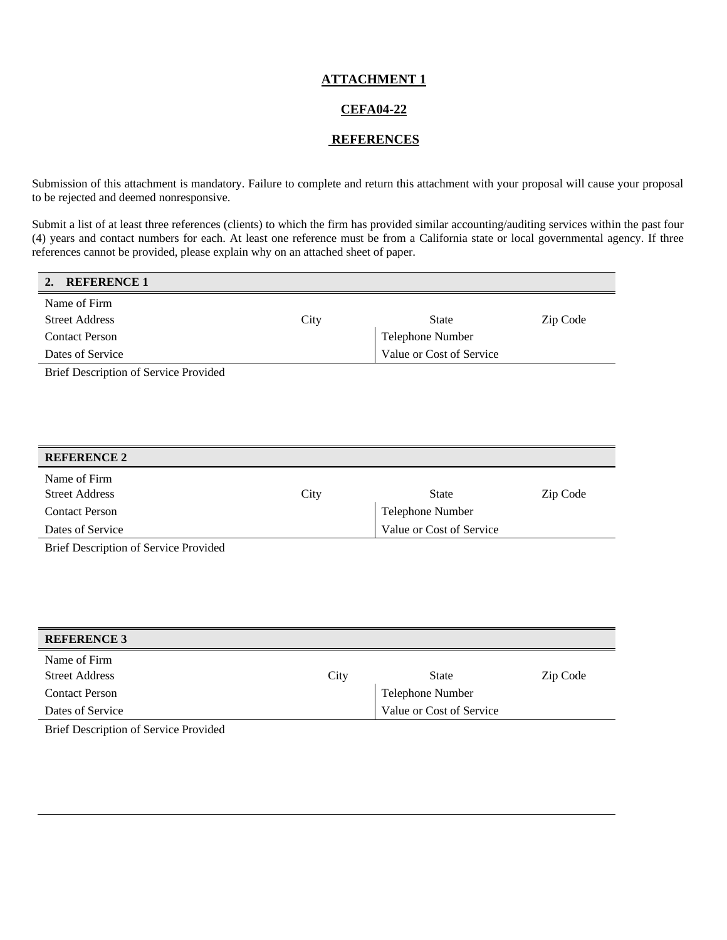#### **CEFA04-22**

#### **REFERENCES**

Submission of this attachment is mandatory. Failure to complete and return this attachment with your proposal will cause your proposal to be rejected and deemed nonresponsive.

Submit a list of at least three references (clients) to which the firm has provided similar accounting/auditing services within the past four (4) years and contact numbers for each. At least one reference must be from a California state or local governmental agency. If three references cannot be provided, please explain why on an attached sheet of paper.

|  | <b>REFERENCE 1</b> |
|--|--------------------|
|--|--------------------|

| Name of Firm          |      |                          |          |
|-----------------------|------|--------------------------|----------|
| <b>Street Address</b> | City | State                    | Zip Code |
| <b>Contact Person</b> |      | Telephone Number         |          |
| Dates of Service      |      | Value or Cost of Service |          |
|                       |      |                          |          |

Brief Description of Service Provided

| <b>REFERENCE 2</b>                    |      |                          |          |
|---------------------------------------|------|--------------------------|----------|
| Name of Firm<br><b>Street Address</b> | City | <b>State</b>             | Zip Code |
| <b>Contact Person</b>                 |      | <b>Telephone Number</b>  |          |
| Dates of Service                      |      | Value or Cost of Service |          |
|                                       |      |                          |          |

Brief Description of Service Provided

| <b>REFERENCE 3</b>    |      |                          |          |
|-----------------------|------|--------------------------|----------|
| Name of Firm          |      |                          |          |
| <b>Street Address</b> | City | <b>State</b>             | Zip Code |
| <b>Contact Person</b> |      | <b>Telephone Number</b>  |          |
| Dates of Service      |      | Value or Cost of Service |          |
|                       |      |                          |          |

Brief Description of Service Provided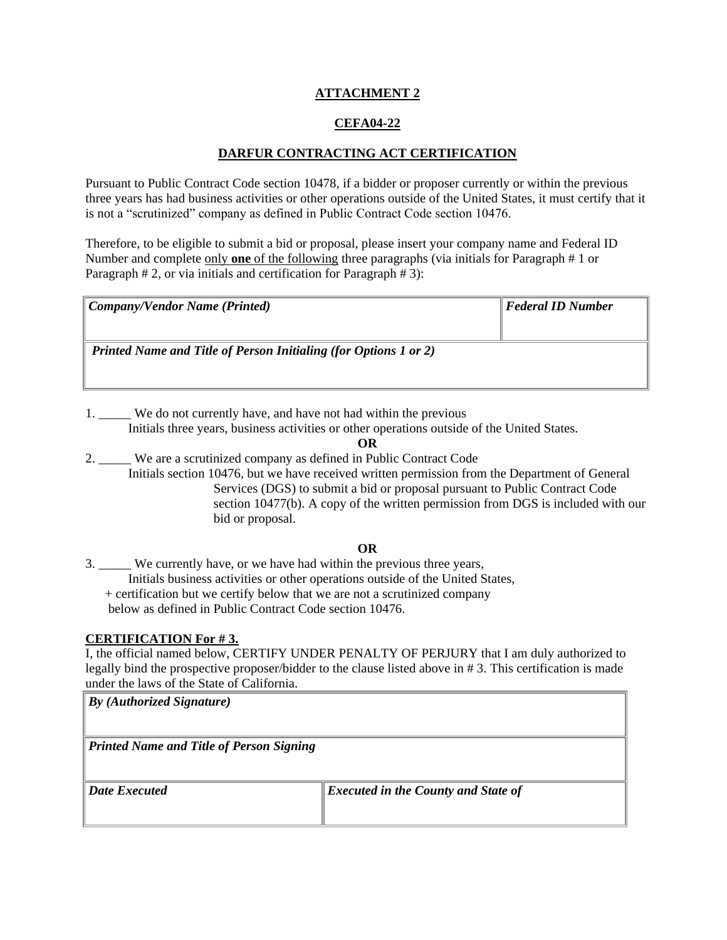## **CEFA04-22**

## **DARFUR CONTRACTING ACT CERTIFICATION**

Pursuant to Public Contract Code section 10478, if a bidder or proposer currently or within the previous three years has had business activities or other operations outside of the United States, it must certify that it is not a "scrutinized" company as defined in Public Contract Code section 10476.

Therefore, to be eligible to submit a bid or proposal, please insert your company name and Federal ID Number and complete only **one** of the following three paragraphs (via initials for Paragraph # 1 or Paragraph # 2, or via initials and certification for Paragraph # 3):

| Company/Vendor Name (Printed)                                           | $\parallel$ Federal ID Number |
|-------------------------------------------------------------------------|-------------------------------|
|                                                                         |                               |
| <b>Printed Name and Title of Person Initialing (for Options 1 or 2)</b> |                               |
|                                                                         |                               |

1. \_\_\_\_\_ We do not currently have, and have not had within the previous Initials three years, business activities or other operations outside of the United States.

**OR**

2. We are a scrutinized company as defined in Public Contract Code Initials section 10476, but we have received written permission from the Department of General Services (DGS) to submit a bid or proposal pursuant to Public Contract Code section 10477(b). A copy of the written permission from DGS is included with our bid or proposal.

## **OR**

3. We currently have, or we have had within the previous three years, Initials business activities or other operations outside of the United States, + certification but we certify below that we are not a scrutinized company below as defined in Public Contract Code section 10476.

#### **CERTIFICATION For # 3.**

I, the official named below, CERTIFY UNDER PENALTY OF PERJURY that I am duly authorized to legally bind the prospective proposer/bidder to the clause listed above in # 3. This certification is made under the laws of the State of California.

| $\parallel$ By (Authorized Signature)    |                                            |
|------------------------------------------|--------------------------------------------|
| Printed Name and Title of Person Signing |                                            |
| $\parallel$ <i>Date Executed</i>         | <b>Executed in the County and State of</b> |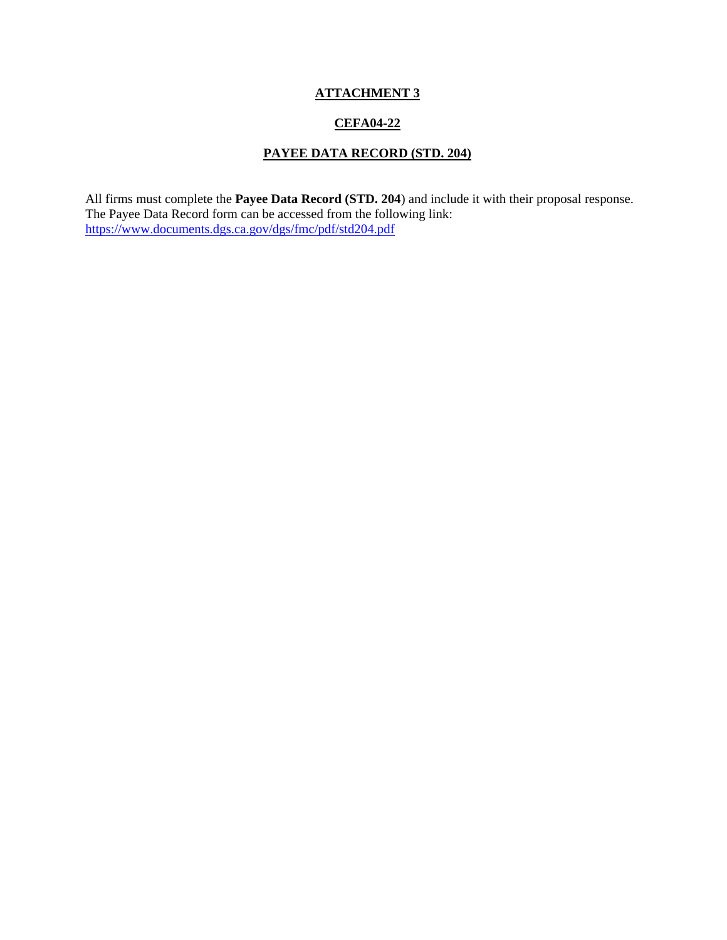## **CEFA04-22**

## **PAYEE DATA RECORD (STD. 204)**

All firms must complete the **Payee Data Record (STD. 204**) and include it with their proposal response. The Payee Data Record form can be accessed from the following link: <https://www.documents.dgs.ca.gov/dgs/fmc/pdf/std204.pdf>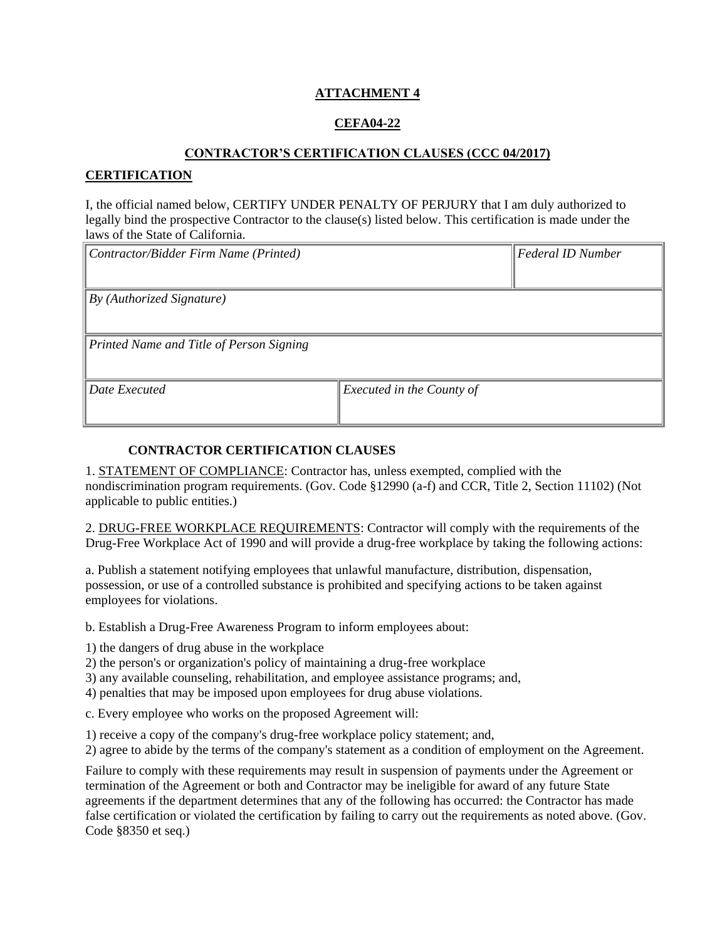## **CEFA04-22**

#### **CONTRACTOR'S CERTIFICATION CLAUSES (CCC 04/2017)**

### **CERTIFICATION**

I, the official named below, CERTIFY UNDER PENALTY OF PERJURY that I am duly authorized to legally bind the prospective Contractor to the clause(s) listed below. This certification is made under the laws of the State of California.

| Contractor/Bidder Firm Name (Printed)    |                                  | <b>Federal ID Number</b> |
|------------------------------------------|----------------------------------|--------------------------|
|                                          |                                  |                          |
|                                          |                                  |                          |
| By (Authorized Signature)                |                                  |                          |
|                                          |                                  |                          |
| Printed Name and Title of Person Signing |                                  |                          |
|                                          |                                  |                          |
| Date Executed                            | <i>Executed in the County of</i> |                          |
|                                          |                                  |                          |

### **CONTRACTOR CERTIFICATION CLAUSES**

1. STATEMENT OF COMPLIANCE: Contractor has, unless exempted, complied with the nondiscrimination program requirements. (Gov. Code §12990 (a-f) and CCR, Title 2, Section 11102) (Not applicable to public entities.)

2. DRUG-FREE WORKPLACE REQUIREMENTS: Contractor will comply with the requirements of the Drug-Free Workplace Act of 1990 and will provide a drug-free workplace by taking the following actions:

a. Publish a statement notifying employees that unlawful manufacture, distribution, dispensation, possession, or use of a controlled substance is prohibited and specifying actions to be taken against employees for violations.

b. Establish a Drug-Free Awareness Program to inform employees about:

1) the dangers of drug abuse in the workplace

2) the person's or organization's policy of maintaining a drug-free workplace

3) any available counseling, rehabilitation, and employee assistance programs; and,

4) penalties that may be imposed upon employees for drug abuse violations.

c. Every employee who works on the proposed Agreement will:

1) receive a copy of the company's drug-free workplace policy statement; and,

2) agree to abide by the terms of the company's statement as a condition of employment on the Agreement.

Failure to comply with these requirements may result in suspension of payments under the Agreement or termination of the Agreement or both and Contractor may be ineligible for award of any future State agreements if the department determines that any of the following has occurred: the Contractor has made false certification or violated the certification by failing to carry out the requirements as noted above. (Gov. Code §8350 et seq.)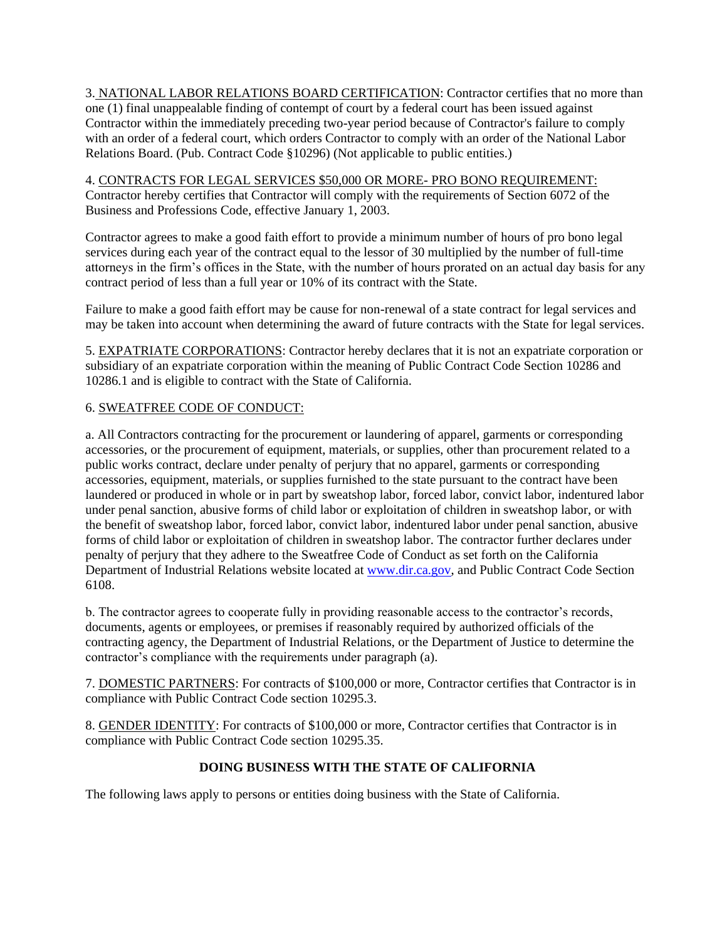3. NATIONAL LABOR RELATIONS BOARD CERTIFICATION: Contractor certifies that no more than one (1) final unappealable finding of contempt of court by a federal court has been issued against Contractor within the immediately preceding two-year period because of Contractor's failure to comply with an order of a federal court, which orders Contractor to comply with an order of the National Labor Relations Board. (Pub. Contract Code §10296) (Not applicable to public entities.)

4. CONTRACTS FOR LEGAL SERVICES \$50,000 OR MORE- PRO BONO REQUIREMENT: Contractor hereby certifies that Contractor will comply with the requirements of Section 6072 of the Business and Professions Code, effective January 1, 2003.

Contractor agrees to make a good faith effort to provide a minimum number of hours of pro bono legal services during each year of the contract equal to the lessor of 30 multiplied by the number of full-time attorneys in the firm's offices in the State, with the number of hours prorated on an actual day basis for any contract period of less than a full year or 10% of its contract with the State.

Failure to make a good faith effort may be cause for non-renewal of a state contract for legal services and may be taken into account when determining the award of future contracts with the State for legal services.

5. EXPATRIATE CORPORATIONS: Contractor hereby declares that it is not an expatriate corporation or subsidiary of an expatriate corporation within the meaning of Public Contract Code Section 10286 and 10286.1 and is eligible to contract with the State of California.

## 6. SWEATFREE CODE OF CONDUCT:

a. All Contractors contracting for the procurement or laundering of apparel, garments or corresponding accessories, or the procurement of equipment, materials, or supplies, other than procurement related to a public works contract, declare under penalty of perjury that no apparel, garments or corresponding accessories, equipment, materials, or supplies furnished to the state pursuant to the contract have been laundered or produced in whole or in part by sweatshop labor, forced labor, convict labor, indentured labor under penal sanction, abusive forms of child labor or exploitation of children in sweatshop labor, or with the benefit of sweatshop labor, forced labor, convict labor, indentured labor under penal sanction, abusive forms of child labor or exploitation of children in sweatshop labor. The contractor further declares under penalty of perjury that they adhere to the Sweatfree Code of Conduct as set forth on the California Department of Industrial Relations website located at [www.dir.ca.gov,](http://www.dir.ca.gov/) and Public Contract Code Section 6108.

b. The contractor agrees to cooperate fully in providing reasonable access to the contractor's records, documents, agents or employees, or premises if reasonably required by authorized officials of the contracting agency, the Department of Industrial Relations, or the Department of Justice to determine the contractor's compliance with the requirements under paragraph (a).

7. DOMESTIC PARTNERS: For contracts of \$100,000 or more, Contractor certifies that Contractor is in compliance with Public Contract Code section 10295.3.

8. GENDER IDENTITY: For contracts of \$100,000 or more, Contractor certifies that Contractor is in compliance with Public Contract Code section 10295.35.

## **DOING BUSINESS WITH THE STATE OF CALIFORNIA**

The following laws apply to persons or entities doing business with the State of California.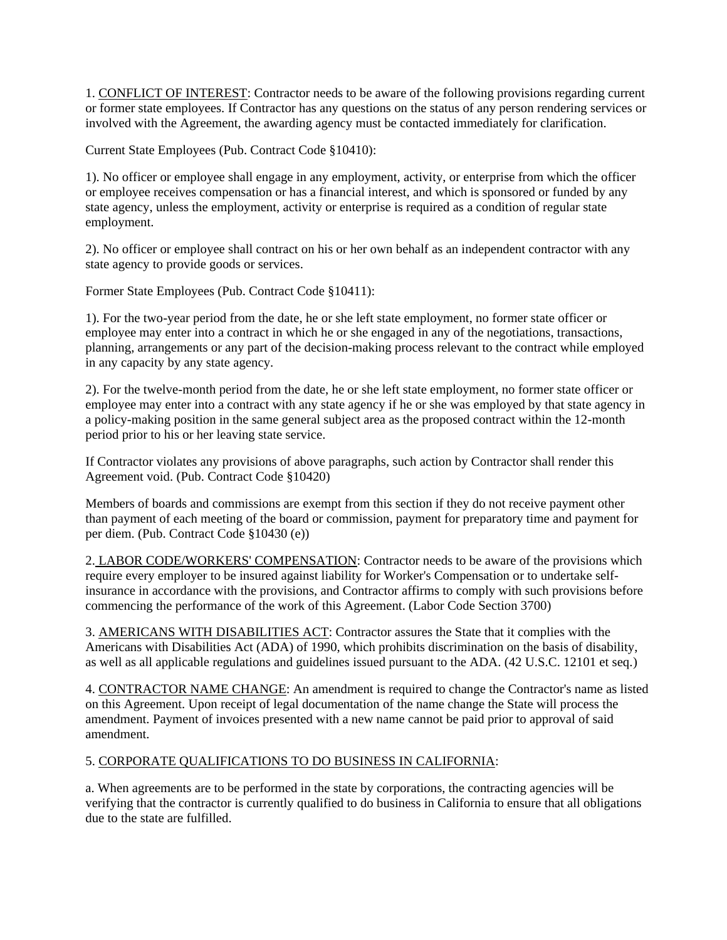1. CONFLICT OF INTEREST: Contractor needs to be aware of the following provisions regarding current or former state employees. If Contractor has any questions on the status of any person rendering services or involved with the Agreement, the awarding agency must be contacted immediately for clarification.

Current State Employees (Pub. Contract Code §10410):

1). No officer or employee shall engage in any employment, activity, or enterprise from which the officer or employee receives compensation or has a financial interest, and which is sponsored or funded by any state agency, unless the employment, activity or enterprise is required as a condition of regular state employment.

2). No officer or employee shall contract on his or her own behalf as an independent contractor with any state agency to provide goods or services.

Former State Employees (Pub. Contract Code §10411):

1). For the two-year period from the date, he or she left state employment, no former state officer or employee may enter into a contract in which he or she engaged in any of the negotiations, transactions, planning, arrangements or any part of the decision-making process relevant to the contract while employed in any capacity by any state agency.

2). For the twelve-month period from the date, he or she left state employment, no former state officer or employee may enter into a contract with any state agency if he or she was employed by that state agency in a policy-making position in the same general subject area as the proposed contract within the 12-month period prior to his or her leaving state service.

If Contractor violates any provisions of above paragraphs, such action by Contractor shall render this Agreement void. (Pub. Contract Code §10420)

Members of boards and commissions are exempt from this section if they do not receive payment other than payment of each meeting of the board or commission, payment for preparatory time and payment for per diem. (Pub. Contract Code §10430 (e))

2. LABOR CODE/WORKERS' COMPENSATION: Contractor needs to be aware of the provisions which require every employer to be insured against liability for Worker's Compensation or to undertake selfinsurance in accordance with the provisions, and Contractor affirms to comply with such provisions before commencing the performance of the work of this Agreement. (Labor Code Section 3700)

3. AMERICANS WITH DISABILITIES ACT: Contractor assures the State that it complies with the Americans with Disabilities Act (ADA) of 1990, which prohibits discrimination on the basis of disability, as well as all applicable regulations and guidelines issued pursuant to the ADA. (42 U.S.C. 12101 et seq.)

4. CONTRACTOR NAME CHANGE: An amendment is required to change the Contractor's name as listed on this Agreement. Upon receipt of legal documentation of the name change the State will process the amendment. Payment of invoices presented with a new name cannot be paid prior to approval of said amendment.

## 5. CORPORATE QUALIFICATIONS TO DO BUSINESS IN CALIFORNIA:

a. When agreements are to be performed in the state by corporations, the contracting agencies will be verifying that the contractor is currently qualified to do business in California to ensure that all obligations due to the state are fulfilled.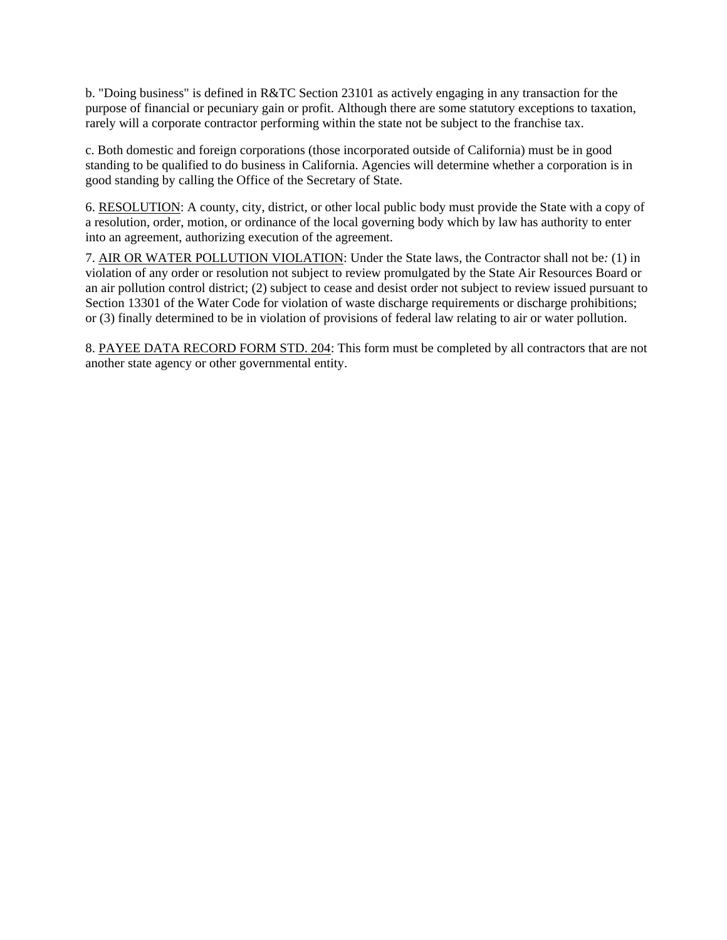b. "Doing business" is defined in R&TC Section 23101 as actively engaging in any transaction for the purpose of financial or pecuniary gain or profit. Although there are some statutory exceptions to taxation, rarely will a corporate contractor performing within the state not be subject to the franchise tax.

c. Both domestic and foreign corporations (those incorporated outside of California) must be in good standing to be qualified to do business in California. Agencies will determine whether a corporation is in good standing by calling the Office of the Secretary of State.

6. RESOLUTION: A county, city, district, or other local public body must provide the State with a copy of a resolution, order, motion, or ordinance of the local governing body which by law has authority to enter into an agreement, authorizing execution of the agreement.

7. AIR OR WATER POLLUTION VIOLATION: Under the State laws, the Contractor shall not be*:* (1) in violation of any order or resolution not subject to review promulgated by the State Air Resources Board or an air pollution control district; (2) subject to cease and desist order not subject to review issued pursuant to Section 13301 of the Water Code for violation of waste discharge requirements or discharge prohibitions; or (3) finally determined to be in violation of provisions of federal law relating to air or water pollution.

8. PAYEE DATA RECORD FORM STD. 204: This form must be completed by all contractors that are not another state agency or other governmental entity.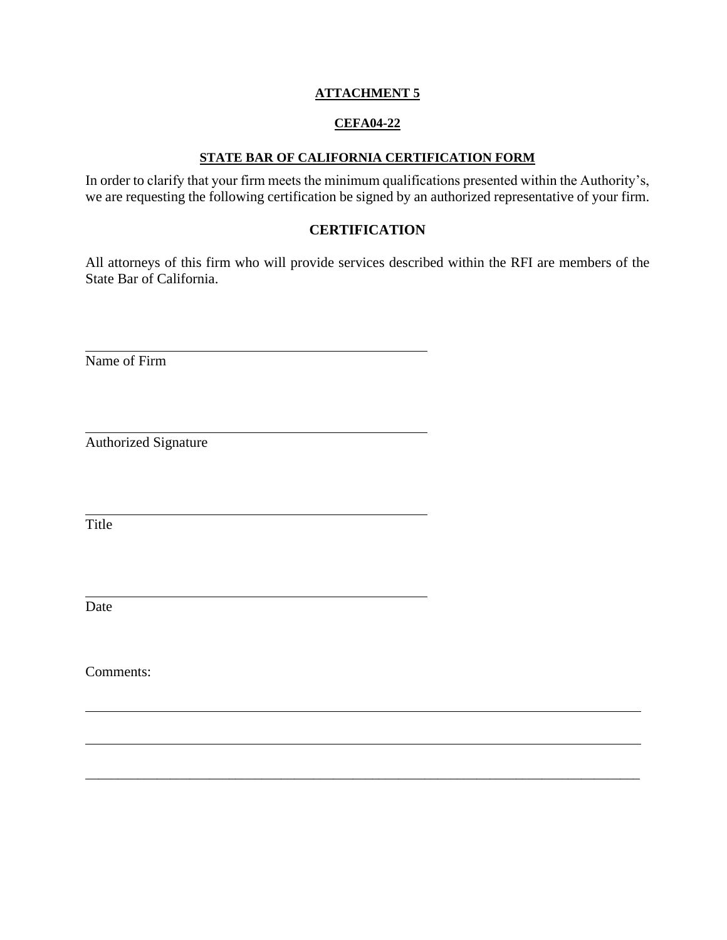## **CEFA04-22**

### **STATE BAR OF CALIFORNIA CERTIFICATION FORM**

In order to clarify that your firm meets the minimum qualifications presented within the Authority's, we are requesting the following certification be signed by an authorized representative of your firm.

## **CERTIFICATION**

All attorneys of this firm who will provide services described within the RFI are members of the State Bar of California.

\_\_\_\_\_\_\_\_\_\_\_\_\_\_\_\_\_\_\_\_\_\_\_\_\_\_\_\_\_\_\_\_\_\_\_\_\_\_\_\_\_\_\_\_\_\_\_\_\_\_\_\_\_\_\_\_\_\_\_\_\_\_\_\_\_\_\_\_\_\_\_\_\_\_\_\_\_\_\_\_\_\_\_\_\_

Name of Firm

Authorized Signature

Title

Date

Comments: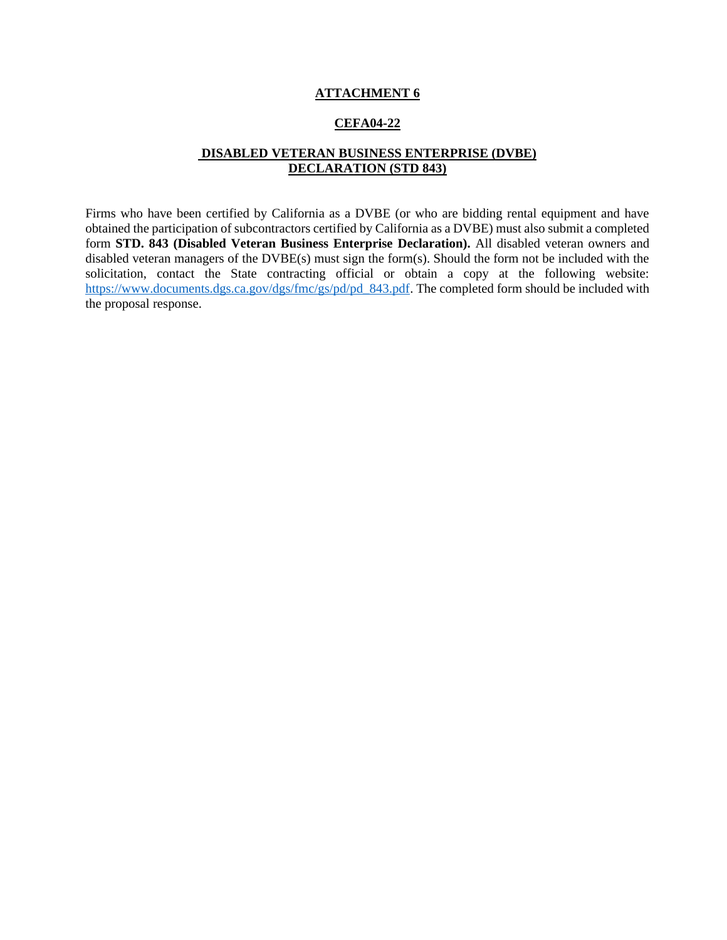#### **CEFA04-22**

### **DISABLED VETERAN BUSINESS ENTERPRISE (DVBE) DECLARATION (STD 843)**

Firms who have been certified by California as a DVBE (or who are bidding rental equipment and have obtained the participation of subcontractors certified by California as a DVBE) must also submit a completed form **STD. 843 (Disabled Veteran Business Enterprise Declaration).** All disabled veteran owners and disabled veteran managers of the DVBE(s) must sign the form(s). Should the form not be included with the solicitation, contact the State contracting official or obtain a copy at the following website: [https://www.documents.dgs.ca.gov/dgs/fmc/gs/pd/pd\\_843.pdf.](https://www.documents.dgs.ca.gov/dgs/fmc/gs/pd/pd_843.pdf) The completed form should be included with the proposal response.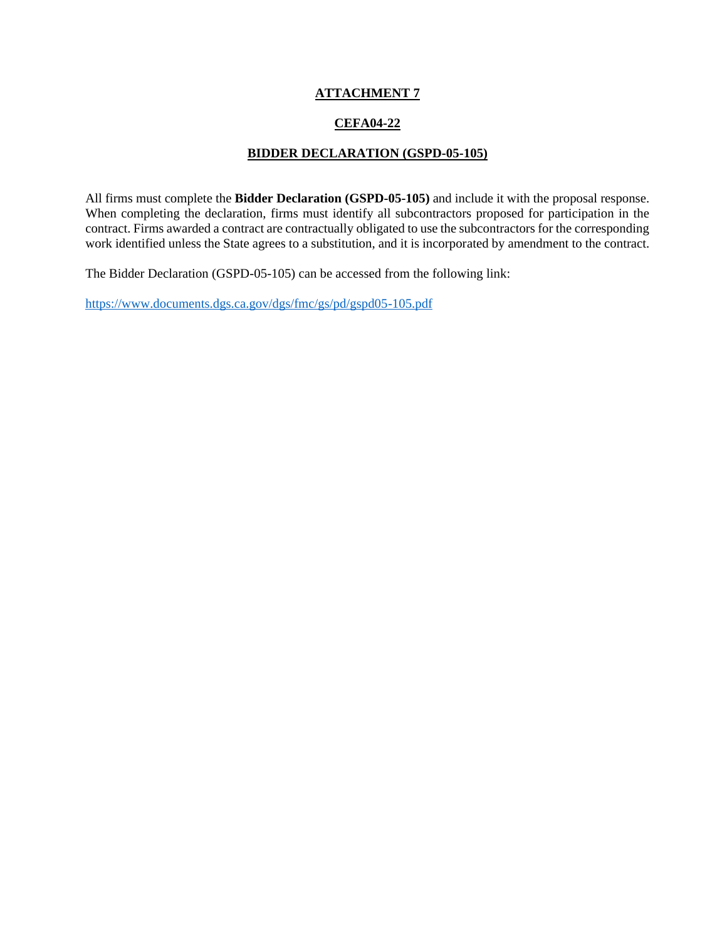## **CEFA04-22**

#### **BIDDER DECLARATION (GSPD-05-105)**

All firms must complete the **Bidder Declaration (GSPD-05-105)** and include it with the proposal response. When completing the declaration, firms must identify all subcontractors proposed for participation in the contract. Firms awarded a contract are contractually obligated to use the subcontractors for the corresponding work identified unless the State agrees to a substitution, and it is incorporated by amendment to the contract.

The Bidder Declaration (GSPD-05-105) can be accessed from the following link:

<https://www.documents.dgs.ca.gov/dgs/fmc/gs/pd/gspd05-105.pdf>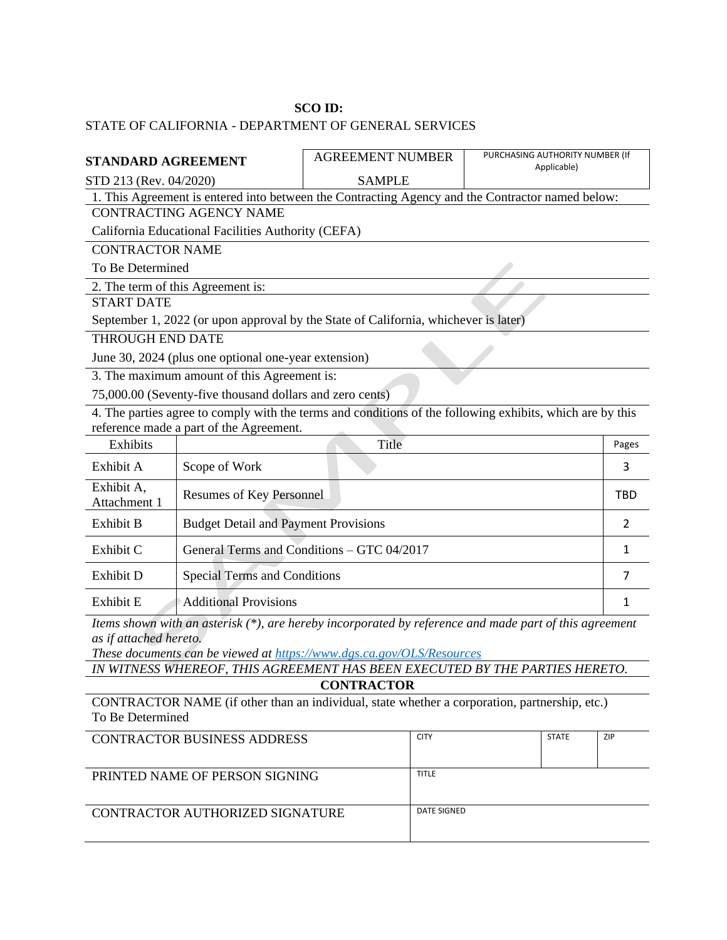#### **SCO ID:**

## STATE OF CALIFORNIA - DEPARTMENT OF GENERAL SERVICES

| <b>STANDARD AGREEMENT</b>                                                                        |                                                          | <b>AGREEMENT NUMBER</b>                                                                                   | PURCHASING AUTHORITY NUMBER (If<br>Applicable) |               |
|--------------------------------------------------------------------------------------------------|----------------------------------------------------------|-----------------------------------------------------------------------------------------------------------|------------------------------------------------|---------------|
| STD 213 (Rev. 04/2020)                                                                           |                                                          | <b>SAMPLE</b>                                                                                             |                                                |               |
| 1. This Agreement is entered into between the Contracting Agency and the Contractor named below: |                                                          |                                                                                                           |                                                |               |
|                                                                                                  | <b>CONTRACTING AGENCY NAME</b>                           |                                                                                                           |                                                |               |
|                                                                                                  | California Educational Facilities Authority (CEFA)       |                                                                                                           |                                                |               |
| <b>CONTRACTOR NAME</b>                                                                           |                                                          |                                                                                                           |                                                |               |
| To Be Determined                                                                                 |                                                          |                                                                                                           |                                                |               |
|                                                                                                  | 2. The term of this Agreement is:                        |                                                                                                           |                                                |               |
| <b>START DATE</b>                                                                                |                                                          |                                                                                                           |                                                |               |
|                                                                                                  |                                                          | September 1, 2022 (or upon approval by the State of California, whichever is later)                       |                                                |               |
| <b>THROUGH END DATE</b>                                                                          |                                                          |                                                                                                           |                                                |               |
|                                                                                                  | June 30, 2024 (plus one optional one-year extension)     |                                                                                                           |                                                |               |
|                                                                                                  | 3. The maximum amount of this Agreement is:              |                                                                                                           |                                                |               |
|                                                                                                  | 75,000.00 (Seventy-five thousand dollars and zero cents) |                                                                                                           |                                                |               |
|                                                                                                  | reference made a part of the Agreement.                  | 4. The parties agree to comply with the terms and conditions of the following exhibits, which are by this |                                                |               |
| Exhibits                                                                                         |                                                          | Title                                                                                                     |                                                | Pages         |
| Exhibit A                                                                                        | Scope of Work                                            |                                                                                                           |                                                | 3             |
| Exhibit A,<br>Attachment 1                                                                       | Resumes of Key Personnel                                 |                                                                                                           |                                                | <b>TBD</b>    |
| Exhibit B                                                                                        | <b>Budget Detail and Payment Provisions</b>              |                                                                                                           |                                                | $\mathcal{P}$ |
| Exhibit C                                                                                        |                                                          | General Terms and Conditions - GTC 04/2017                                                                |                                                | 1             |
| Exhibit D                                                                                        | <b>Special Terms and Conditions</b>                      |                                                                                                           |                                                | 7             |
| Exhibit E                                                                                        | <b>Additional Provisions</b>                             |                                                                                                           |                                                | 1             |

*Items shown with an asterisk (\*), are hereby incorporated by reference and made part of this agreement as if attached hereto.* 

*These documents can be viewed at<https://www.dgs.ca.gov/OLS/Resources>*

*IN WITNESS WHEREOF, THIS AGREEMENT HAS BEEN EXECUTED BY THE PARTIES HERETO.* **CONTRACTOR**

CONTRACTOR NAME (if other than an individual, state whether a corporation, partnership, etc.) To Be Determined

| CONTRACTOR BUSINESS ADDRESS     | <b>CITY</b> | <b>STATE</b> | <b>ZIP</b> |
|---------------------------------|-------------|--------------|------------|
| PRINTED NAME OF PERSON SIGNING  | TITLE       |              |            |
| CONTRACTOR AUTHORIZED SIGNATURE | DATE SIGNED |              |            |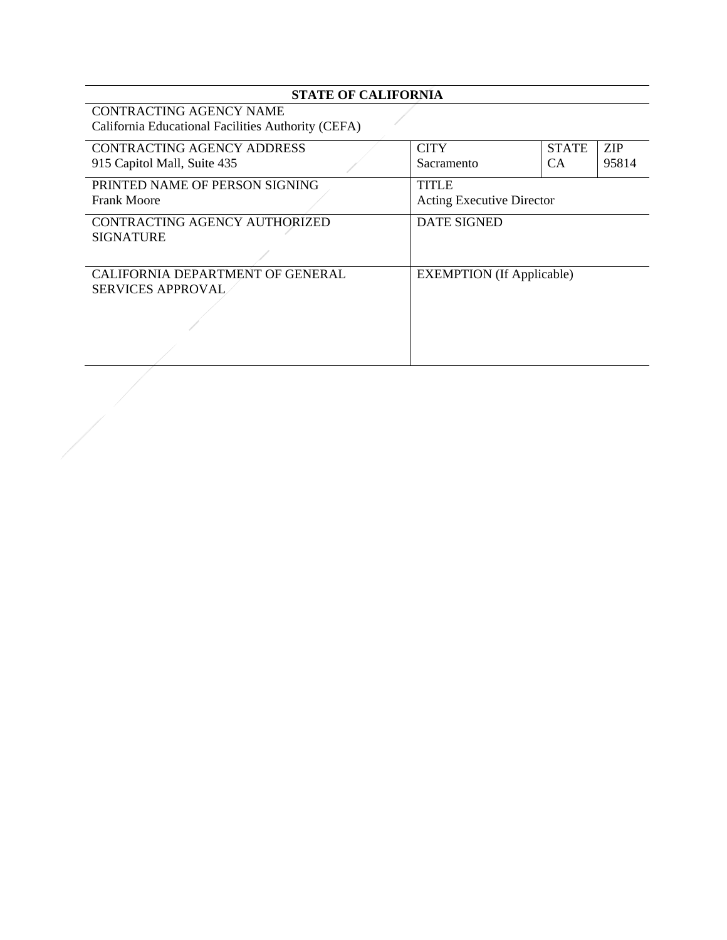## **STATE OF CALIFORNIA**

CONTRACTING AGENCY NAME California Educational Facilities Authority (CEFA)

| CONTRACTING AGENCY ADDRESS       | <b>CITY</b>                      | <b>STATE</b> | <b>ZIP</b> |
|----------------------------------|----------------------------------|--------------|------------|
| 915 Capitol Mall, Suite 435      | Sacramento                       | <b>CA</b>    | 95814      |
|                                  |                                  |              |            |
| PRINTED NAME OF PERSON SIGNING   | <b>TITLE</b>                     |              |            |
| <b>Frank Moore</b>               | <b>Acting Executive Director</b> |              |            |
| CONTRACTING AGENCY AUTHORIZED    | <b>DATE SIGNED</b>               |              |            |
| <b>SIGNATURE</b>                 |                                  |              |            |
|                                  |                                  |              |            |
| CALIFORNIA DEPARTMENT OF GENERAL | <b>EXEMPTION</b> (If Applicable) |              |            |
| <b>SERVICES APPROVAL</b>         |                                  |              |            |
|                                  |                                  |              |            |
|                                  |                                  |              |            |
|                                  |                                  |              |            |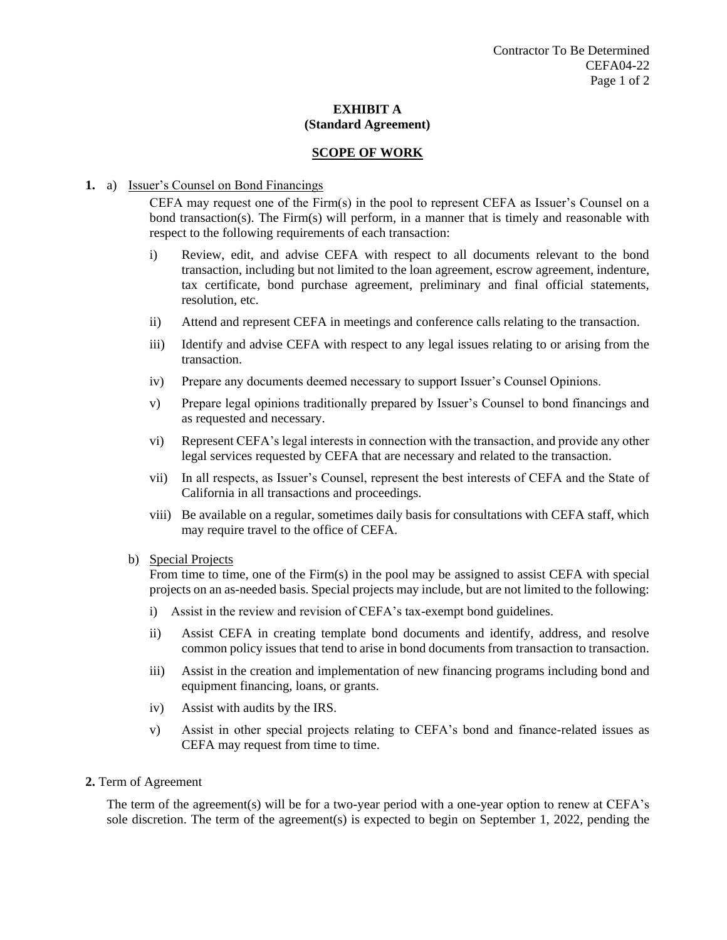#### **SCOPE OF WORK**

#### **1.** a) Issuer's Counsel on Bond Financings

CEFA may request one of the Firm(s) in the pool to represent CEFA as Issuer's Counsel on a bond transaction(s). The Firm(s) will perform, in a manner that is timely and reasonable with respect to the following requirements of each transaction:

- i) Review, edit, and advise CEFA with respect to all documents relevant to the bond transaction, including but not limited to the loan agreement, escrow agreement, indenture, tax certificate, bond purchase agreement, preliminary and final official statements, resolution, etc.
- ii) Attend and represent CEFA in meetings and conference calls relating to the transaction.
- iii) Identify and advise CEFA with respect to any legal issues relating to or arising from the transaction.
- iv) Prepare any documents deemed necessary to support Issuer's Counsel Opinions.
- v) Prepare legal opinions traditionally prepared by Issuer's Counsel to bond financings and as requested and necessary.
- vi) Represent CEFA's legal interests in connection with the transaction, and provide any other legal services requested by CEFA that are necessary and related to the transaction.
- vii) In all respects, as Issuer's Counsel, represent the best interests of CEFA and the State of California in all transactions and proceedings.
- viii) Be available on a regular, sometimes daily basis for consultations with CEFA staff, which may require travel to the office of CEFA.

#### b) Special Projects

From time to time, one of the Firm(s) in the pool may be assigned to assist CEFA with special projects on an as-needed basis. Special projects may include, but are not limited to the following:

- i) Assist in the review and revision of CEFA's tax-exempt bond guidelines.
- ii) Assist CEFA in creating template bond documents and identify, address, and resolve common policy issues that tend to arise in bond documents from transaction to transaction.
- iii) Assist in the creation and implementation of new financing programs including bond and equipment financing, loans, or grants.
- iv) Assist with audits by the IRS.
- v) Assist in other special projects relating to CEFA's bond and finance-related issues as CEFA may request from time to time.
- **2.** Term of Agreement

The term of the agreement(s) will be for a two-year period with a one-year option to renew at CEFA's sole discretion. The term of the agreement(s) is expected to begin on September 1, 2022, pending the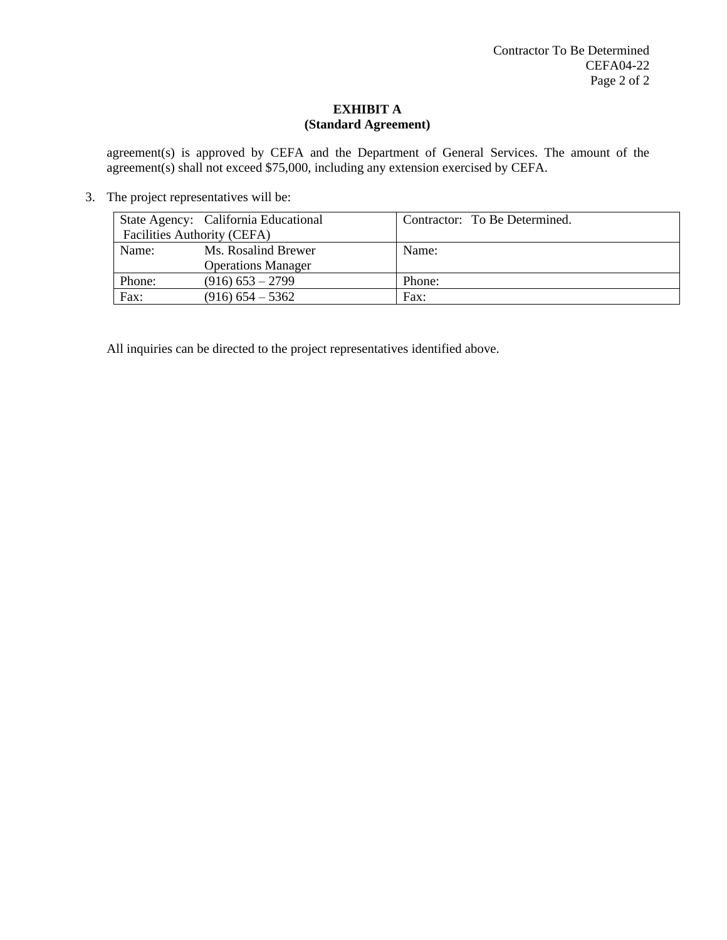agreement(s) is approved by CEFA and the Department of General Services. The amount of the agreement(s) shall not exceed \$75,000, including any extension exercised by CEFA.

3. The project representatives will be:

|                             | State Agency: California Educational | Contractor: To Be Determined. |
|-----------------------------|--------------------------------------|-------------------------------|
| Facilities Authority (CEFA) |                                      |                               |
| Name:                       | Ms. Rosalind Brewer                  | Name:                         |
|                             | <b>Operations Manager</b>            |                               |
| Phone:                      | $(916)$ 653 – 2799                   | Phone:                        |
| Fax:                        | $(916)$ 654 – 5362                   | Fax:                          |

All inquiries can be directed to the project representatives identified above.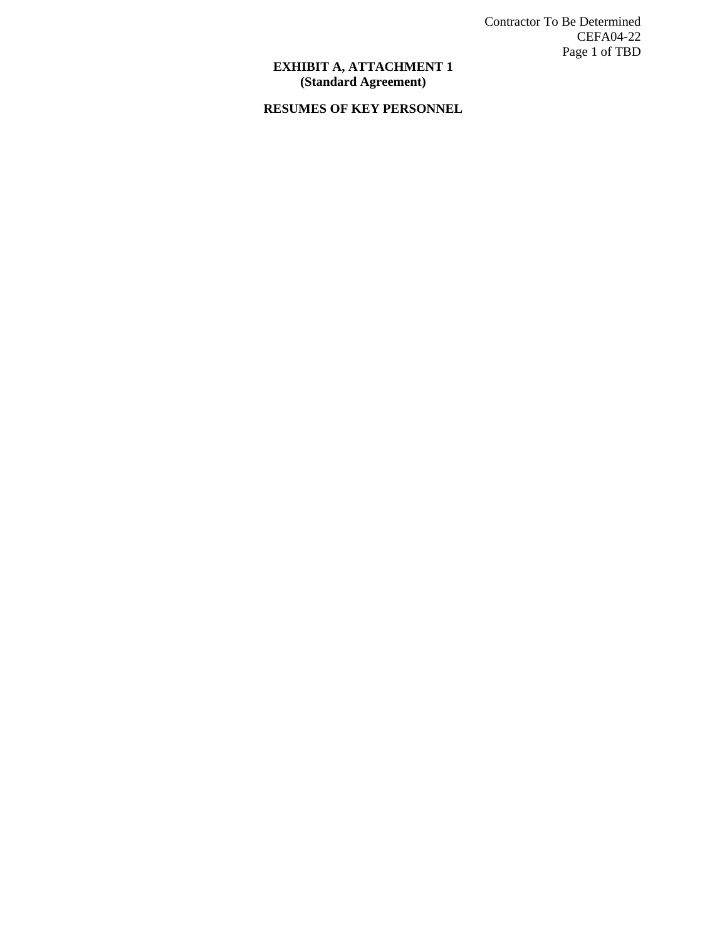Contractor To Be Determined CEFA04-22 Page 1 of TBD

#### **EXHIBIT A, ATTACHMENT 1 (Standard Agreement)**

## **RESUMES OF KEY PERSONNEL**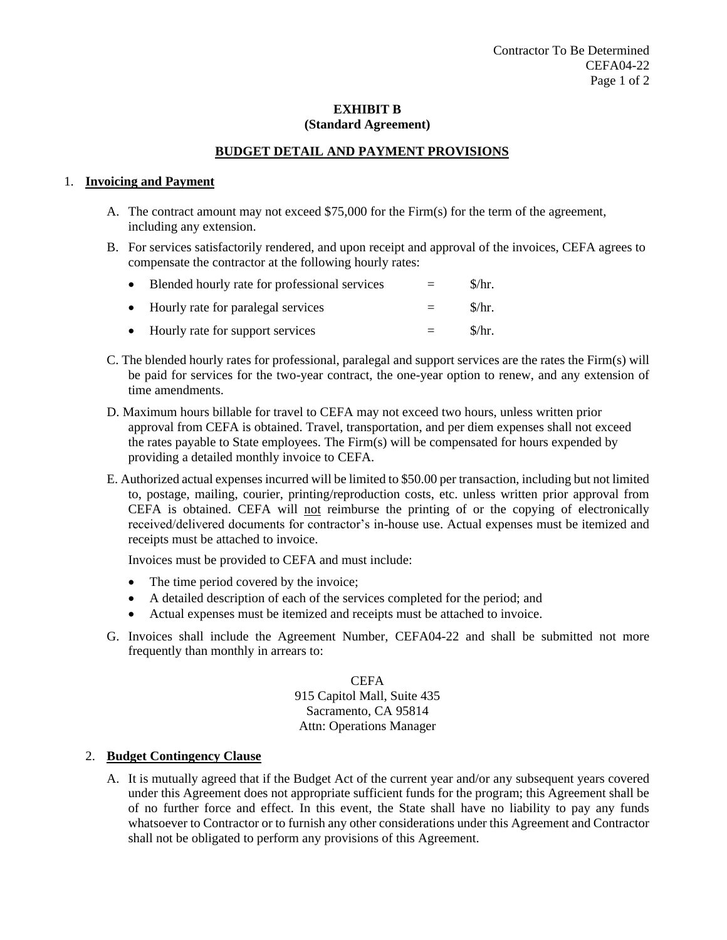## **BUDGET DETAIL AND PAYMENT PROVISIONS**

#### 1. **Invoicing and Payment**

- A. The contract amount may not exceed \$75,000 for the Firm(s) for the term of the agreement, including any extension.
- B. For services satisfactorily rendered, and upon receipt and approval of the invoices, CEFA agrees to compensate the contractor at the following hourly rates:

| • Blended hourly rate for professional services | $\equiv$ | $\frac{\mathrm{S}}{\mathrm{F}}$ . |
|-------------------------------------------------|----------|-----------------------------------|
| • Hourly rate for paralegal services            | $=$      | \$/hr.                            |
| • Hourly rate for support services              | $=$      | $\frac{\sinh x}{\sinh x}$         |

- C. The blended hourly rates for professional, paralegal and support services are the rates the Firm(s) will be paid for services for the two-year contract, the one-year option to renew, and any extension of time amendments.
- D. Maximum hours billable for travel to CEFA may not exceed two hours, unless written prior approval from CEFA is obtained. Travel, transportation, and per diem expenses shall not exceed the rates payable to State employees. The Firm(s) will be compensated for hours expended by providing a detailed monthly invoice to CEFA.
- E. Authorized actual expenses incurred will be limited to \$50.00 per transaction, including but not limited to, postage, mailing, courier, printing/reproduction costs, etc. unless written prior approval from CEFA is obtained. CEFA will not reimburse the printing of or the copying of electronically received/delivered documents for contractor's in-house use. Actual expenses must be itemized and receipts must be attached to invoice.

Invoices must be provided to CEFA and must include:

- The time period covered by the invoice;
- A detailed description of each of the services completed for the period; and
- Actual expenses must be itemized and receipts must be attached to invoice.
- G. Invoices shall include the Agreement Number, CEFA04-22 and shall be submitted not more frequently than monthly in arrears to:

**CEFA** 915 Capitol Mall, Suite 435 Sacramento, CA 95814 Attn: Operations Manager

#### 2. **Budget Contingency Clause**

A. It is mutually agreed that if the Budget Act of the current year and/or any subsequent years covered under this Agreement does not appropriate sufficient funds for the program; this Agreement shall be of no further force and effect. In this event, the State shall have no liability to pay any funds whatsoever to Contractor or to furnish any other considerations under this Agreement and Contractor shall not be obligated to perform any provisions of this Agreement.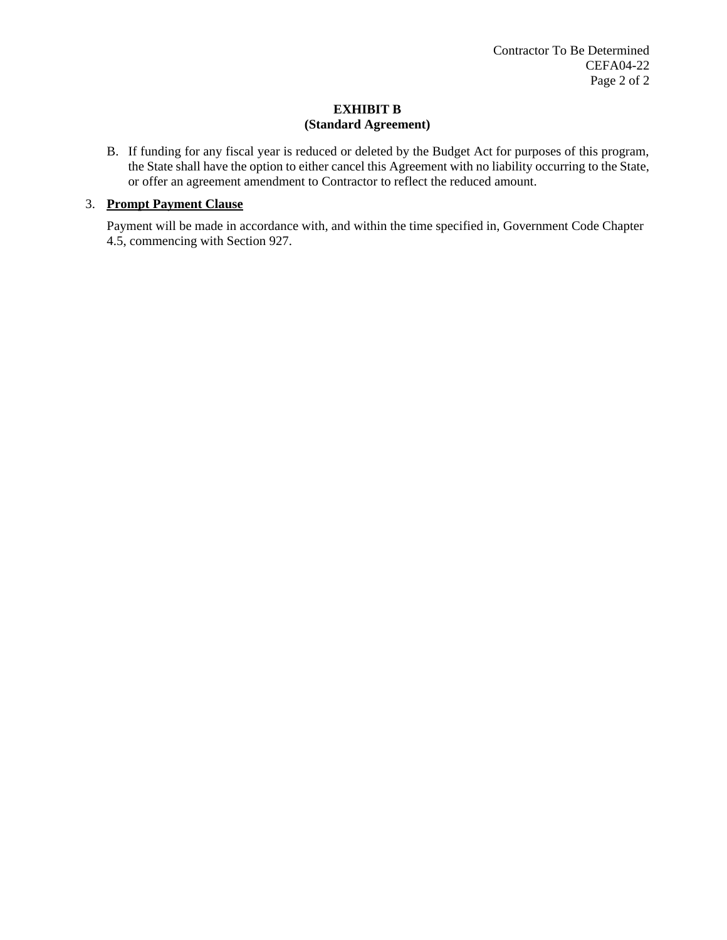B. If funding for any fiscal year is reduced or deleted by the Budget Act for purposes of this program, the State shall have the option to either cancel this Agreement with no liability occurring to the State, or offer an agreement amendment to Contractor to reflect the reduced amount.

## 3. **Prompt Payment Clause**

Payment will be made in accordance with, and within the time specified in, Government Code Chapter 4.5, commencing with Section 927.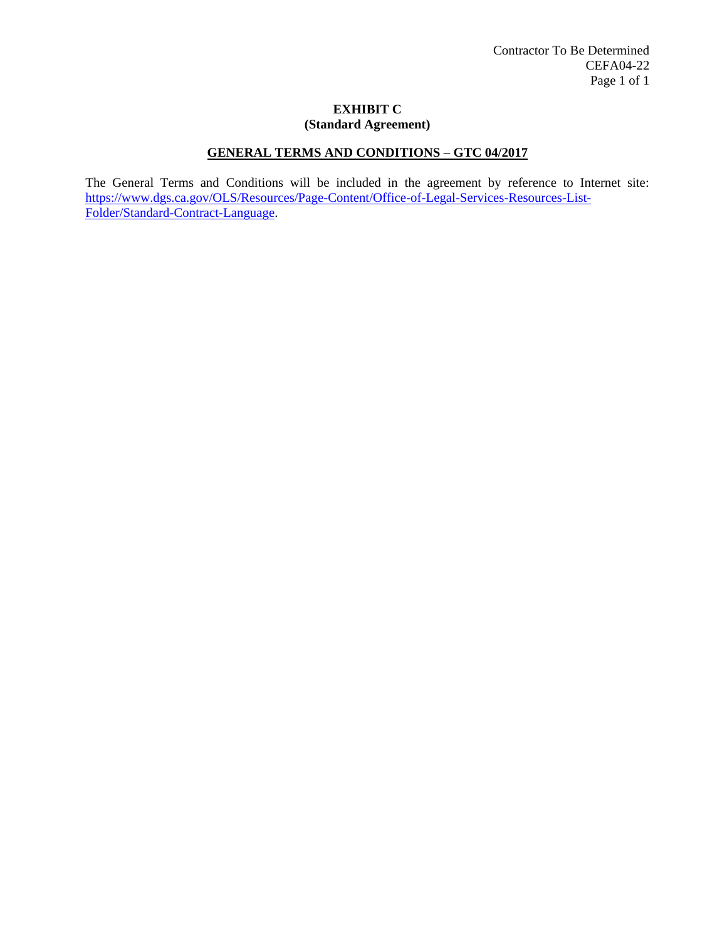## **GENERAL TERMS AND CONDITIONS – GTC 04/2017**

The General Terms and Conditions will be included in the agreement by reference to Internet site: [https://www.dgs.ca.gov/OLS/Resources/Page-Content/Office-of-Legal-Services-Resources-List-](https://www.dgs.ca.gov/OLS/Resources/Page-Content/Office-of-Legal-Services-Resources-List-Folder/Standard-Contract-Language)[Folder/Standard-Contract-Language.](https://www.dgs.ca.gov/OLS/Resources/Page-Content/Office-of-Legal-Services-Resources-List-Folder/Standard-Contract-Language)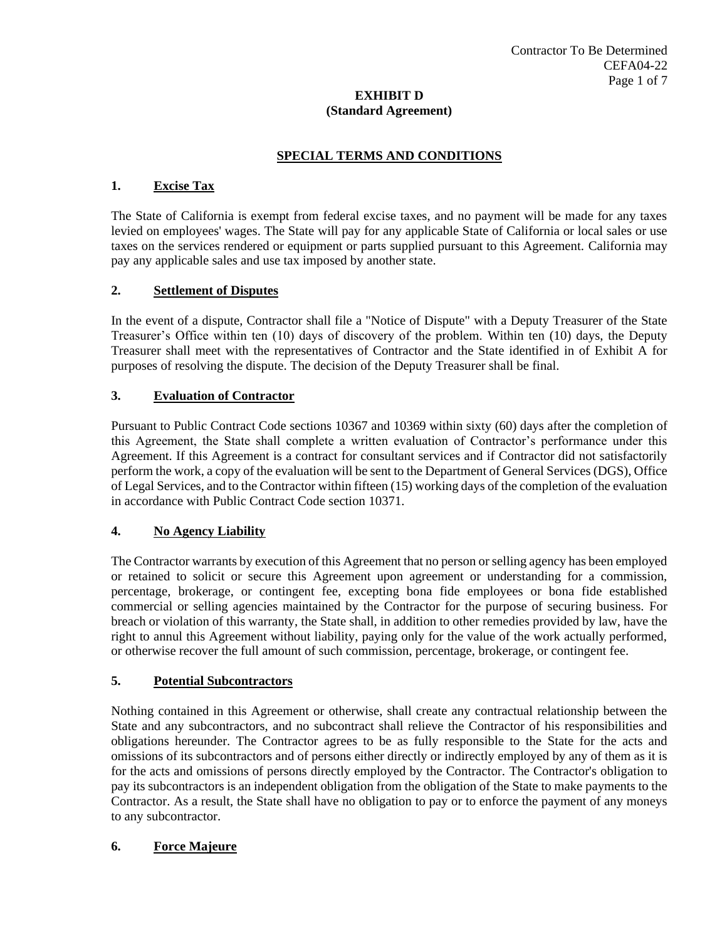## **SPECIAL TERMS AND CONDITIONS**

## **1. Excise Tax**

The State of California is exempt from federal excise taxes, and no payment will be made for any taxes levied on employees' wages. The State will pay for any applicable State of California or local sales or use taxes on the services rendered or equipment or parts supplied pursuant to this Agreement. California may pay any applicable sales and use tax imposed by another state.

## **2. Settlement of Disputes**

In the event of a dispute, Contractor shall file a "Notice of Dispute" with a Deputy Treasurer of the State Treasurer's Office within ten (10) days of discovery of the problem. Within ten (10) days, the Deputy Treasurer shall meet with the representatives of Contractor and the State identified in of Exhibit A for purposes of resolving the dispute. The decision of the Deputy Treasurer shall be final.

## **3. Evaluation of Contractor**

Pursuant to Public Contract Code sections 10367 and 10369 within sixty (60) days after the completion of this Agreement, the State shall complete a written evaluation of Contractor's performance under this Agreement. If this Agreement is a contract for consultant services and if Contractor did not satisfactorily perform the work, a copy of the evaluation will be sent to the Department of General Services (DGS), Office of Legal Services, and to the Contractor within fifteen (15) working days of the completion of the evaluation in accordance with Public Contract Code section 10371.

## **4. No Agency Liability**

The Contractor warrants by execution of this Agreement that no person or selling agency has been employed or retained to solicit or secure this Agreement upon agreement or understanding for a commission, percentage, brokerage, or contingent fee, excepting bona fide employees or bona fide established commercial or selling agencies maintained by the Contractor for the purpose of securing business. For breach or violation of this warranty, the State shall, in addition to other remedies provided by law, have the right to annul this Agreement without liability, paying only for the value of the work actually performed, or otherwise recover the full amount of such commission, percentage, brokerage, or contingent fee.

## **5. Potential Subcontractors**

Nothing contained in this Agreement or otherwise, shall create any contractual relationship between the State and any subcontractors, and no subcontract shall relieve the Contractor of his responsibilities and obligations hereunder. The Contractor agrees to be as fully responsible to the State for the acts and omissions of its subcontractors and of persons either directly or indirectly employed by any of them as it is for the acts and omissions of persons directly employed by the Contractor. The Contractor's obligation to pay its subcontractors is an independent obligation from the obligation of the State to make payments to the Contractor. As a result, the State shall have no obligation to pay or to enforce the payment of any moneys to any subcontractor.

## **6. Force Majeure**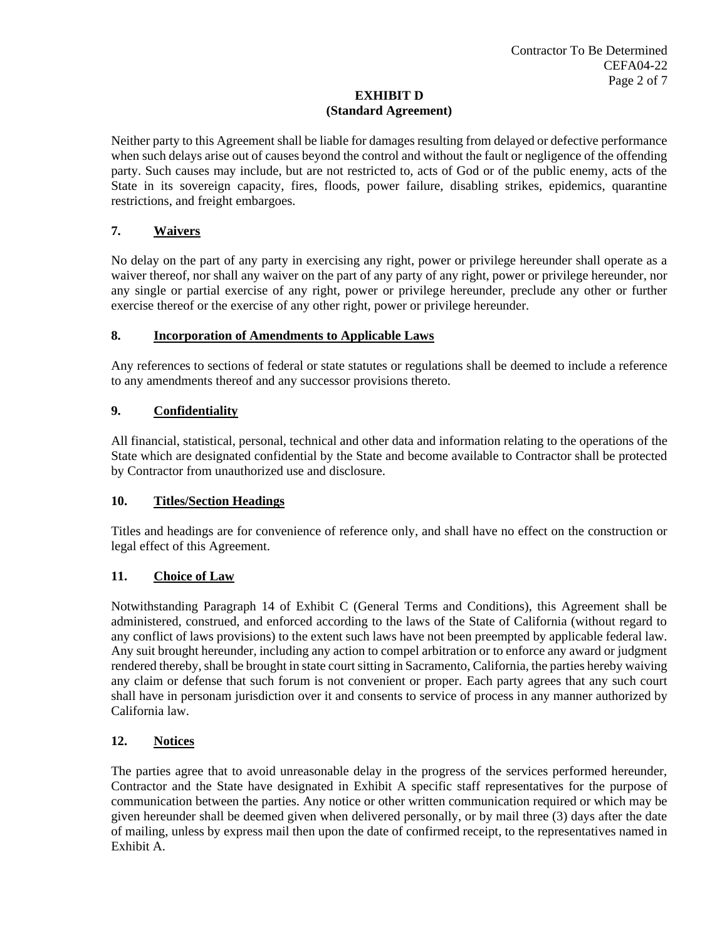Neither party to this Agreement shall be liable for damages resulting from delayed or defective performance when such delays arise out of causes beyond the control and without the fault or negligence of the offending party. Such causes may include, but are not restricted to, acts of God or of the public enemy, acts of the State in its sovereign capacity, fires, floods, power failure, disabling strikes, epidemics, quarantine restrictions, and freight embargoes.

## **7. Waivers**

No delay on the part of any party in exercising any right, power or privilege hereunder shall operate as a waiver thereof, nor shall any waiver on the part of any party of any right, power or privilege hereunder, nor any single or partial exercise of any right, power or privilege hereunder, preclude any other or further exercise thereof or the exercise of any other right, power or privilege hereunder.

## **8. Incorporation of Amendments to Applicable Laws**

Any references to sections of federal or state statutes or regulations shall be deemed to include a reference to any amendments thereof and any successor provisions thereto.

## **9. Confidentiality**

All financial, statistical, personal, technical and other data and information relating to the operations of the State which are designated confidential by the State and become available to Contractor shall be protected by Contractor from unauthorized use and disclosure.

## **10. Titles/Section Headings**

Titles and headings are for convenience of reference only, and shall have no effect on the construction or legal effect of this Agreement.

## **11. Choice of Law**

Notwithstanding Paragraph 14 of Exhibit C (General Terms and Conditions), this Agreement shall be administered, construed, and enforced according to the laws of the State of California (without regard to any conflict of laws provisions) to the extent such laws have not been preempted by applicable federal law. Any suit brought hereunder, including any action to compel arbitration or to enforce any award or judgment rendered thereby, shall be brought in state court sitting in Sacramento, California, the parties hereby waiving any claim or defense that such forum is not convenient or proper. Each party agrees that any such court shall have in personam jurisdiction over it and consents to service of process in any manner authorized by California law.

## **12. Notices**

The parties agree that to avoid unreasonable delay in the progress of the services performed hereunder, Contractor and the State have designated in Exhibit A specific staff representatives for the purpose of communication between the parties. Any notice or other written communication required or which may be given hereunder shall be deemed given when delivered personally, or by mail three (3) days after the date of mailing, unless by express mail then upon the date of confirmed receipt, to the representatives named in Exhibit A.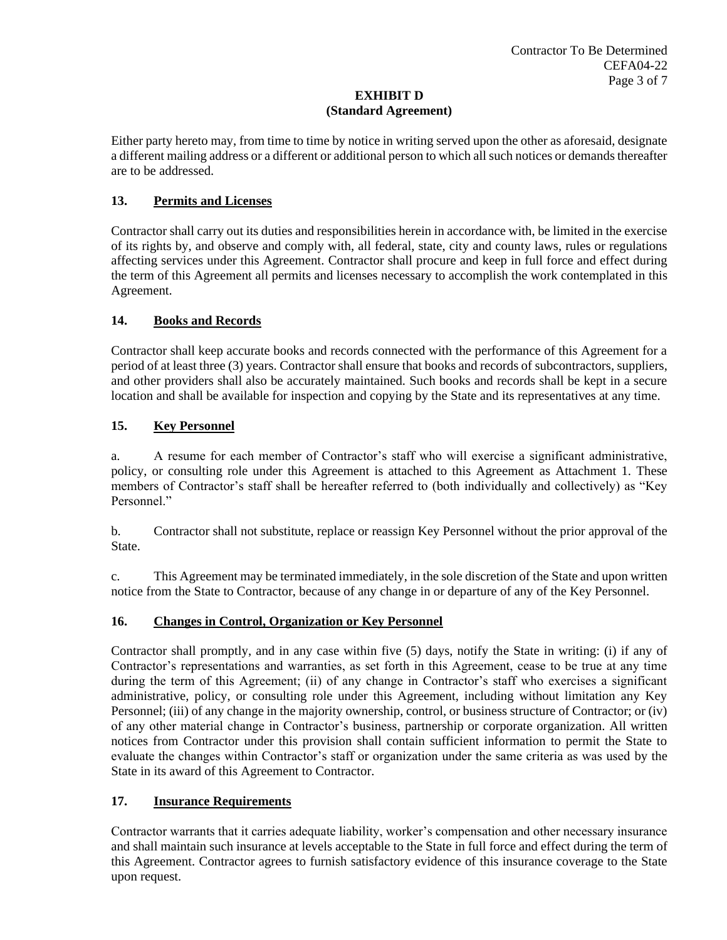Either party hereto may, from time to time by notice in writing served upon the other as aforesaid, designate a different mailing address or a different or additional person to which all such notices or demands thereafter are to be addressed.

## **13. Permits and Licenses**

Contractor shall carry out its duties and responsibilities herein in accordance with, be limited in the exercise of its rights by, and observe and comply with, all federal, state, city and county laws, rules or regulations affecting services under this Agreement. Contractor shall procure and keep in full force and effect during the term of this Agreement all permits and licenses necessary to accomplish the work contemplated in this Agreement.

## **14. Books and Records**

Contractor shall keep accurate books and records connected with the performance of this Agreement for a period of at least three (3) years. Contractor shall ensure that books and records of subcontractors, suppliers, and other providers shall also be accurately maintained. Such books and records shall be kept in a secure location and shall be available for inspection and copying by the State and its representatives at any time.

## **15. Key Personnel**

a. A resume for each member of Contractor's staff who will exercise a significant administrative, policy, or consulting role under this Agreement is attached to this Agreement as Attachment 1. These members of Contractor's staff shall be hereafter referred to (both individually and collectively) as "Key Personnel."

b. Contractor shall not substitute, replace or reassign Key Personnel without the prior approval of the State.

c. This Agreement may be terminated immediately, in the sole discretion of the State and upon written notice from the State to Contractor, because of any change in or departure of any of the Key Personnel.

## **16. Changes in Control, Organization or Key Personnel**

Contractor shall promptly, and in any case within five (5) days, notify the State in writing: (i) if any of Contractor's representations and warranties, as set forth in this Agreement, cease to be true at any time during the term of this Agreement; (ii) of any change in Contractor's staff who exercises a significant administrative, policy, or consulting role under this Agreement, including without limitation any Key Personnel; (iii) of any change in the majority ownership, control, or business structure of Contractor; or (iv) of any other material change in Contractor's business, partnership or corporate organization. All written notices from Contractor under this provision shall contain sufficient information to permit the State to evaluate the changes within Contractor's staff or organization under the same criteria as was used by the State in its award of this Agreement to Contractor.

## **17. Insurance Requirements**

Contractor warrants that it carries adequate liability, worker's compensation and other necessary insurance and shall maintain such insurance at levels acceptable to the State in full force and effect during the term of this Agreement. Contractor agrees to furnish satisfactory evidence of this insurance coverage to the State upon request.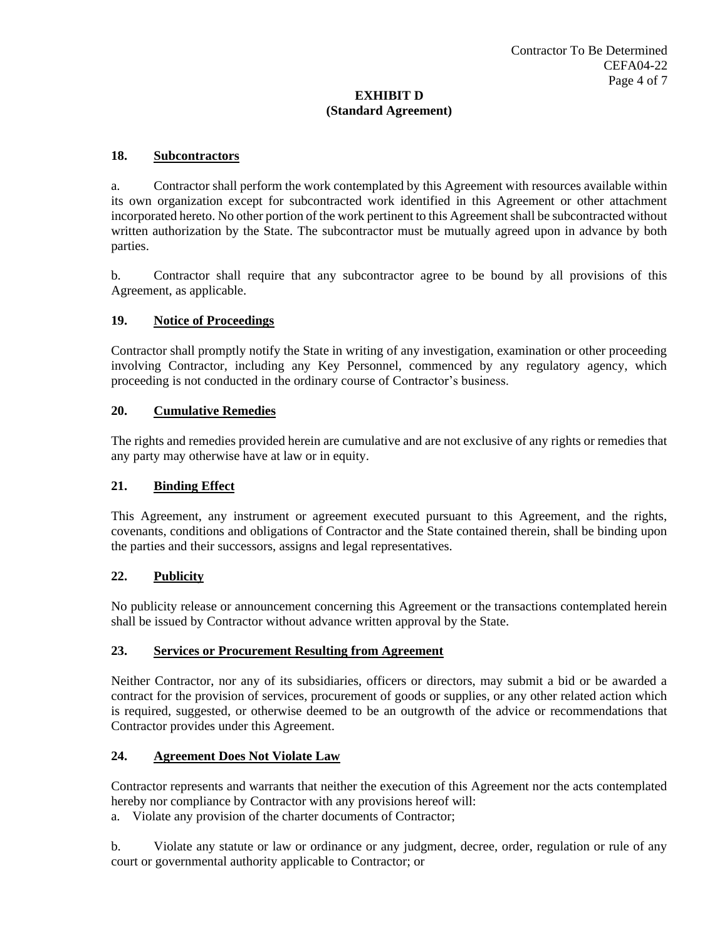### **18. Subcontractors**

a. Contractor shall perform the work contemplated by this Agreement with resources available within its own organization except for subcontracted work identified in this Agreement or other attachment incorporated hereto. No other portion of the work pertinent to this Agreement shall be subcontracted without written authorization by the State. The subcontractor must be mutually agreed upon in advance by both parties.

b. Contractor shall require that any subcontractor agree to be bound by all provisions of this Agreement, as applicable.

### **19. Notice of Proceedings**

Contractor shall promptly notify the State in writing of any investigation, examination or other proceeding involving Contractor, including any Key Personnel, commenced by any regulatory agency, which proceeding is not conducted in the ordinary course of Contractor's business.

### **20. Cumulative Remedies**

The rights and remedies provided herein are cumulative and are not exclusive of any rights or remedies that any party may otherwise have at law or in equity.

#### **21. Binding Effect**

This Agreement, any instrument or agreement executed pursuant to this Agreement, and the rights, covenants, conditions and obligations of Contractor and the State contained therein, shall be binding upon the parties and their successors, assigns and legal representatives.

#### **22. Publicity**

No publicity release or announcement concerning this Agreement or the transactions contemplated herein shall be issued by Contractor without advance written approval by the State.

#### **23. Services or Procurement Resulting from Agreement**

Neither Contractor, nor any of its subsidiaries, officers or directors, may submit a bid or be awarded a contract for the provision of services, procurement of goods or supplies, or any other related action which is required, suggested, or otherwise deemed to be an outgrowth of the advice or recommendations that Contractor provides under this Agreement.

#### **24. Agreement Does Not Violate Law**

Contractor represents and warrants that neither the execution of this Agreement nor the acts contemplated hereby nor compliance by Contractor with any provisions hereof will:

a. Violate any provision of the charter documents of Contractor;

b. Violate any statute or law or ordinance or any judgment, decree, order, regulation or rule of any court or governmental authority applicable to Contractor; or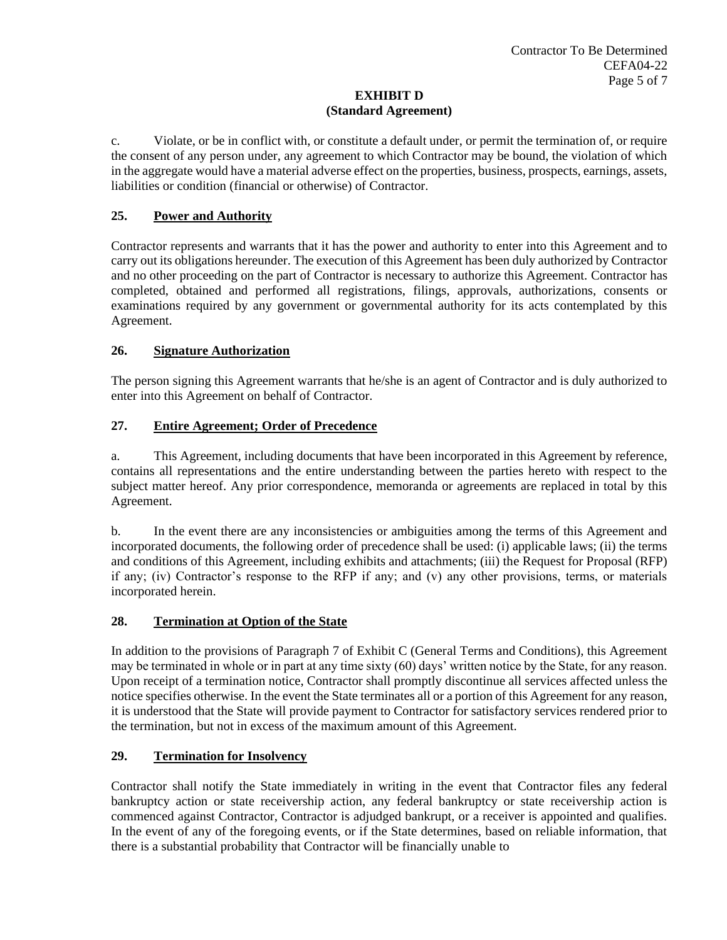c. Violate, or be in conflict with, or constitute a default under, or permit the termination of, or require the consent of any person under, any agreement to which Contractor may be bound, the violation of which in the aggregate would have a material adverse effect on the properties, business, prospects, earnings, assets, liabilities or condition (financial or otherwise) of Contractor.

## **25. Power and Authority**

Contractor represents and warrants that it has the power and authority to enter into this Agreement and to carry out its obligations hereunder. The execution of this Agreement has been duly authorized by Contractor and no other proceeding on the part of Contractor is necessary to authorize this Agreement. Contractor has completed, obtained and performed all registrations, filings, approvals, authorizations, consents or examinations required by any government or governmental authority for its acts contemplated by this Agreement.

## **26. Signature Authorization**

The person signing this Agreement warrants that he/she is an agent of Contractor and is duly authorized to enter into this Agreement on behalf of Contractor.

### **27. Entire Agreement; Order of Precedence**

a. This Agreement, including documents that have been incorporated in this Agreement by reference, contains all representations and the entire understanding between the parties hereto with respect to the subject matter hereof. Any prior correspondence, memoranda or agreements are replaced in total by this Agreement.

b. In the event there are any inconsistencies or ambiguities among the terms of this Agreement and incorporated documents, the following order of precedence shall be used: (i) applicable laws; (ii) the terms and conditions of this Agreement, including exhibits and attachments; (iii) the Request for Proposal (RFP) if any; (iv) Contractor's response to the RFP if any; and  $(v)$  any other provisions, terms, or materials incorporated herein.

#### **28. Termination at Option of the State**

In addition to the provisions of Paragraph 7 of Exhibit C (General Terms and Conditions), this Agreement may be terminated in whole or in part at any time sixty (60) days' written notice by the State, for any reason. Upon receipt of a termination notice, Contractor shall promptly discontinue all services affected unless the notice specifies otherwise. In the event the State terminates all or a portion of this Agreement for any reason, it is understood that the State will provide payment to Contractor for satisfactory services rendered prior to the termination, but not in excess of the maximum amount of this Agreement.

#### **29. Termination for Insolvency**

Contractor shall notify the State immediately in writing in the event that Contractor files any federal bankruptcy action or state receivership action, any federal bankruptcy or state receivership action is commenced against Contractor, Contractor is adjudged bankrupt, or a receiver is appointed and qualifies. In the event of any of the foregoing events, or if the State determines, based on reliable information, that there is a substantial probability that Contractor will be financially unable to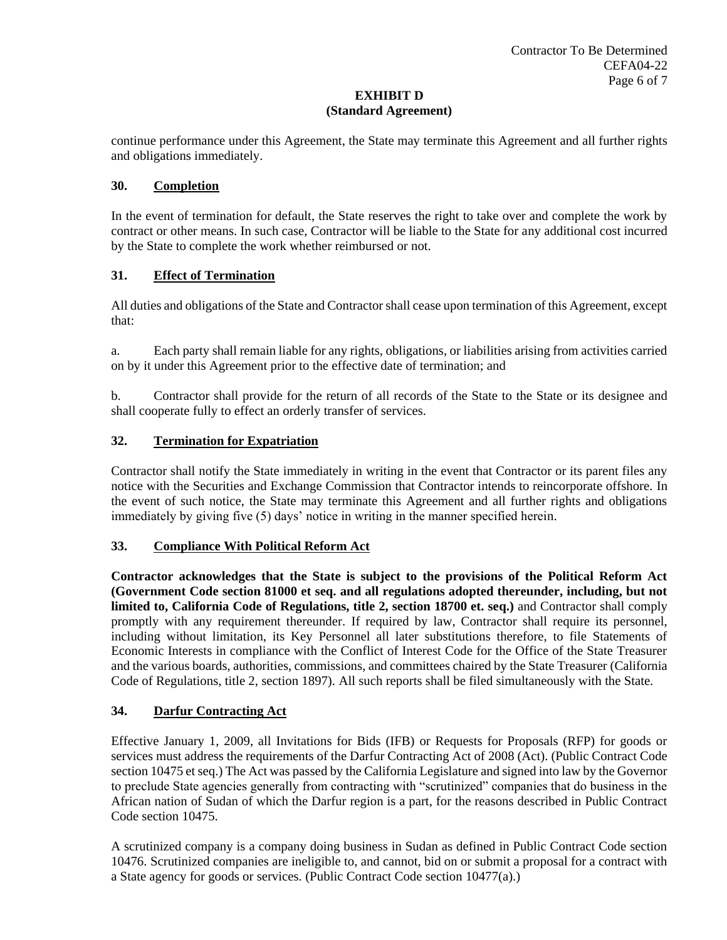continue performance under this Agreement, the State may terminate this Agreement and all further rights and obligations immediately.

## **30. Completion**

In the event of termination for default, the State reserves the right to take over and complete the work by contract or other means. In such case, Contractor will be liable to the State for any additional cost incurred by the State to complete the work whether reimbursed or not.

## **31. Effect of Termination**

All duties and obligations of the State and Contractor shall cease upon termination of this Agreement, except that:

a. Each party shall remain liable for any rights, obligations, or liabilities arising from activities carried on by it under this Agreement prior to the effective date of termination; and

b. Contractor shall provide for the return of all records of the State to the State or its designee and shall cooperate fully to effect an orderly transfer of services.

## **32. Termination for Expatriation**

Contractor shall notify the State immediately in writing in the event that Contractor or its parent files any notice with the Securities and Exchange Commission that Contractor intends to reincorporate offshore. In the event of such notice, the State may terminate this Agreement and all further rights and obligations immediately by giving five (5) days' notice in writing in the manner specified herein.

## **33. Compliance With Political Reform Act**

**Contractor acknowledges that the State is subject to the provisions of the Political Reform Act (Government Code section 81000 et seq. and all regulations adopted thereunder, including, but not limited to, California Code of Regulations, title 2, section 18700 et. seq.)** and Contractor shall comply promptly with any requirement thereunder. If required by law, Contractor shall require its personnel, including without limitation, its Key Personnel all later substitutions therefore, to file Statements of Economic Interests in compliance with the Conflict of Interest Code for the Office of the State Treasurer and the various boards, authorities, commissions, and committees chaired by the State Treasurer (California Code of Regulations, title 2, section 1897). All such reports shall be filed simultaneously with the State*.*

## **34. Darfur Contracting Act**

Effective January 1, 2009, all Invitations for Bids (IFB) or Requests for Proposals (RFP) for goods or services must address the requirements of the Darfur Contracting Act of 2008 (Act). (Public Contract Code section 10475 et seq.) The Act was passed by the California Legislature and signed into law by the Governor to preclude State agencies generally from contracting with "scrutinized" companies that do business in the African nation of Sudan of which the Darfur region is a part, for the reasons described in Public Contract Code section 10475.

A scrutinized company is a company doing business in Sudan as defined in Public Contract Code section 10476. Scrutinized companies are ineligible to, and cannot, bid on or submit a proposal for a contract with a State agency for goods or services. (Public Contract Code section 10477(a).)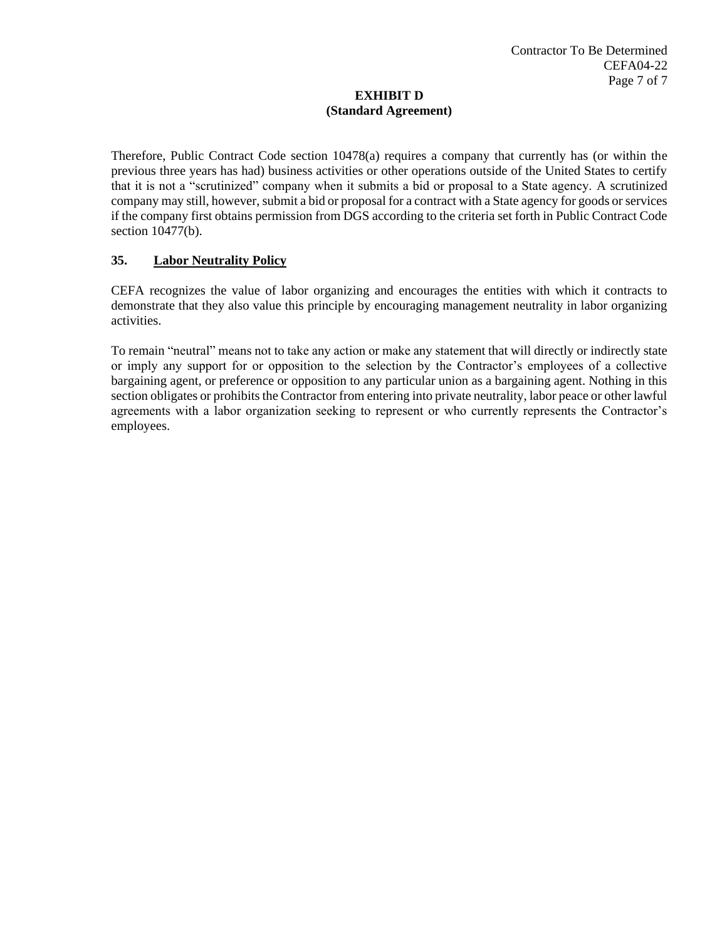Therefore, Public Contract Code section 10478(a) requires a company that currently has (or within the previous three years has had) business activities or other operations outside of the United States to certify that it is not a "scrutinized" company when it submits a bid or proposal to a State agency. A scrutinized company may still, however, submit a bid or proposal for a contract with a State agency for goods or services if the company first obtains permission from DGS according to the criteria set forth in Public Contract Code section 10477(b).

## **35. Labor Neutrality Policy**

CEFA recognizes the value of labor organizing and encourages the entities with which it contracts to demonstrate that they also value this principle by encouraging management neutrality in labor organizing activities.

To remain "neutral" means not to take any action or make any statement that will directly or indirectly state or imply any support for or opposition to the selection by the Contractor's employees of a collective bargaining agent, or preference or opposition to any particular union as a bargaining agent. Nothing in this section obligates or prohibits the Contractor from entering into private neutrality, labor peace or other lawful agreements with a labor organization seeking to represent or who currently represents the Contractor's employees.